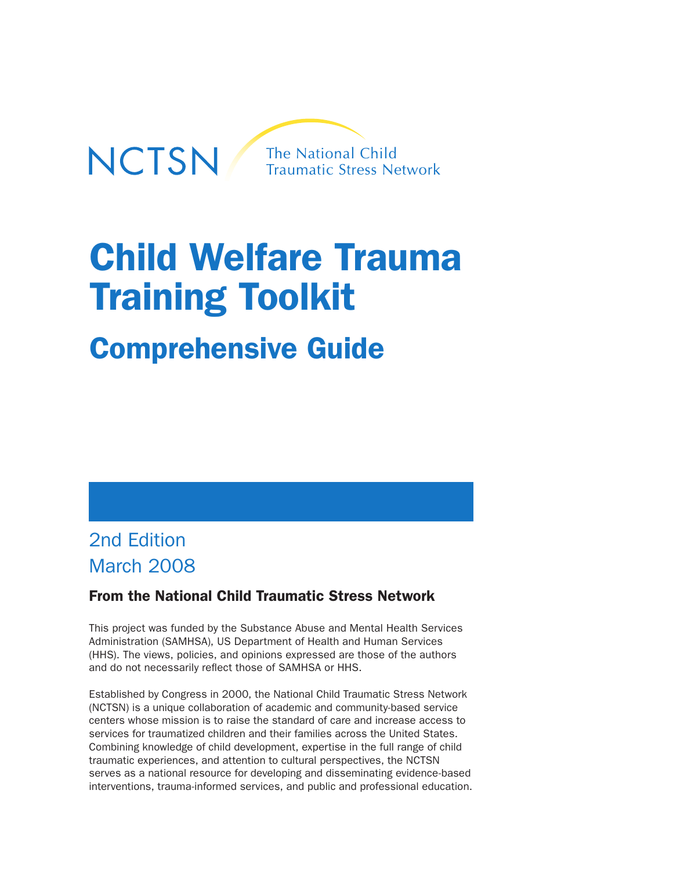

# Child Welfare Trauma Training Toolkit

## Comprehensive Guide

## 2nd Edition March 2008

## From the National Child Traumatic Stress Network

This project was funded by the Substance Abuse and Mental Health Services Administration (SAMHSA), US Department of Health and Human Services (HHS). The views, policies, and opinions expressed are those of the authors and do not necessarily reflect those of SAMHSA or HHS.

Established by Congress in 2000, the National Child Traumatic Stress Network (NCTSN) is a unique collaboration of academic and community-based service centers whose mission is to raise the standard of care and increase access to services for traumatized children and their families across the United States. Combining knowledge of child development, expertise in the full range of child traumatic experiences, and attention to cultural perspectives, the NCTSN serves as a national resource for developing and disseminating evidence-based interventions, trauma-informed services, and public and professional education.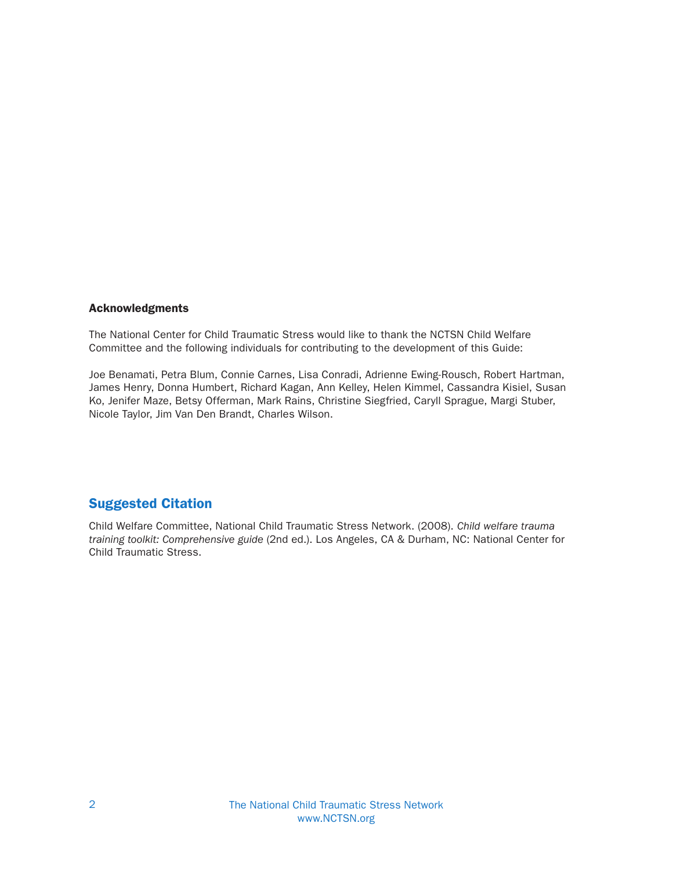#### Acknowledgments

The National Center for Child Traumatic Stress would like to thank the NCTSN Child Welfare Committee and the following individuals for contributing to the development of this Guide:

Joe Benamati, Petra Blum, Connie Carnes, Lisa Conradi, Adrienne Ewing-Rousch, Robert Hartman, James Henry, Donna Humbert, Richard Kagan, Ann Kelley, Helen Kimmel, Cassandra Kisiel, Susan Ko, Jenifer Maze, Betsy Offerman, Mark Rains, Christine Siegfried, Caryll Sprague, Margi Stuber, Nicole Taylor, Jim Van Den Brandt, Charles Wilson.

#### Suggested Citation

Child Welfare Committee, National Child Traumatic Stress Network. (2008). Child welfare trauma training toolkit: Comprehensive guide (2nd ed.). Los Angeles, CA & Durham, NC: National Center for Child Traumatic Stress.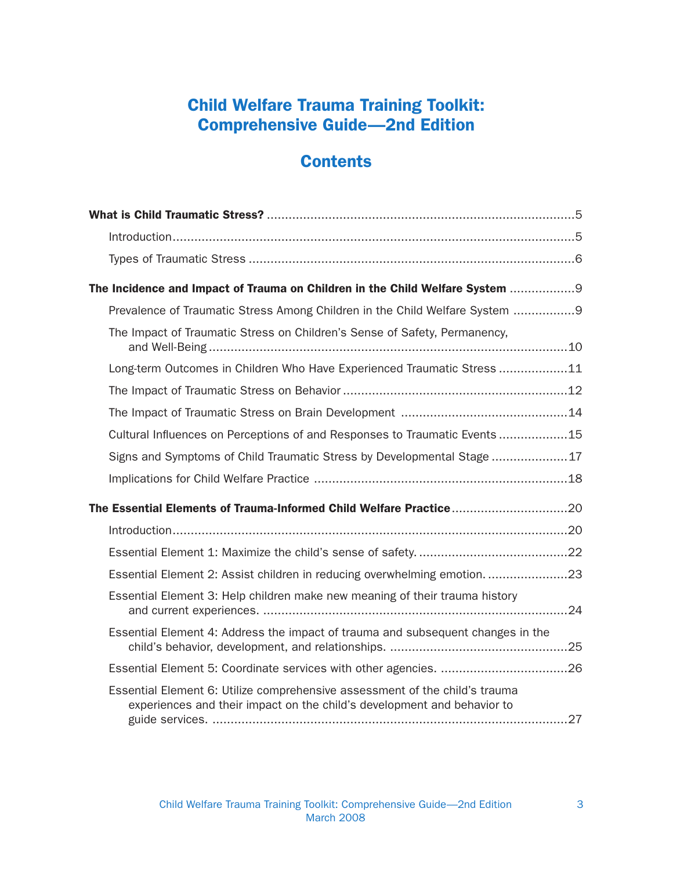## Child Welfare Trauma Training Toolkit: Comprehensive Guide—2nd Edition

## **Contents**

| The Incidence and Impact of Trauma on Children in the Child Welfare System  9                                                                          |
|--------------------------------------------------------------------------------------------------------------------------------------------------------|
| Prevalence of Traumatic Stress Among Children in the Child Welfare System 9                                                                            |
| The Impact of Traumatic Stress on Children's Sense of Safety, Permanency,                                                                              |
| Long-term Outcomes in Children Who Have Experienced Traumatic Stress 11                                                                                |
|                                                                                                                                                        |
|                                                                                                                                                        |
| Cultural Influences on Perceptions of and Responses to Traumatic Events 15                                                                             |
| Signs and Symptoms of Child Traumatic Stress by Developmental Stage17                                                                                  |
|                                                                                                                                                        |
| The Essential Elements of Trauma-Informed Child Welfare Practice20                                                                                     |
|                                                                                                                                                        |
|                                                                                                                                                        |
| Essential Element 2: Assist children in reducing overwhelming emotion23                                                                                |
| Essential Element 3: Help children make new meaning of their trauma history                                                                            |
| Essential Element 4: Address the impact of trauma and subsequent changes in the                                                                        |
|                                                                                                                                                        |
| Essential Element 6: Utilize comprehensive assessment of the child's trauma<br>experiences and their impact on the child's development and behavior to |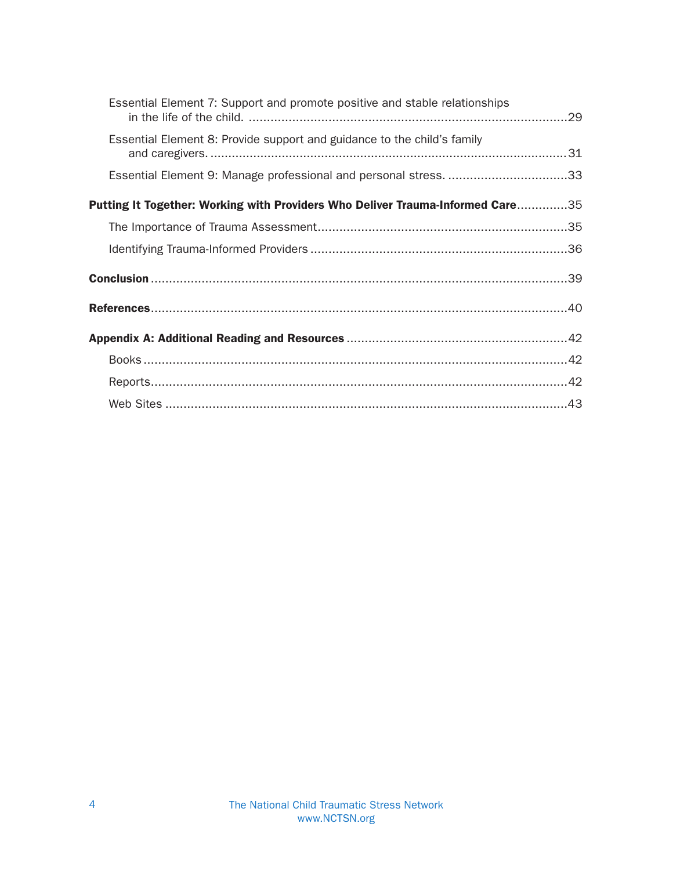| Essential Element 7: Support and promote positive and stable relationships     |  |
|--------------------------------------------------------------------------------|--|
| Essential Element 8: Provide support and guidance to the child's family        |  |
| Essential Element 9: Manage professional and personal stress. 33               |  |
| Putting It Together: Working with Providers Who Deliver Trauma-Informed Care35 |  |
|                                                                                |  |
|                                                                                |  |
|                                                                                |  |
|                                                                                |  |
|                                                                                |  |
|                                                                                |  |
|                                                                                |  |
|                                                                                |  |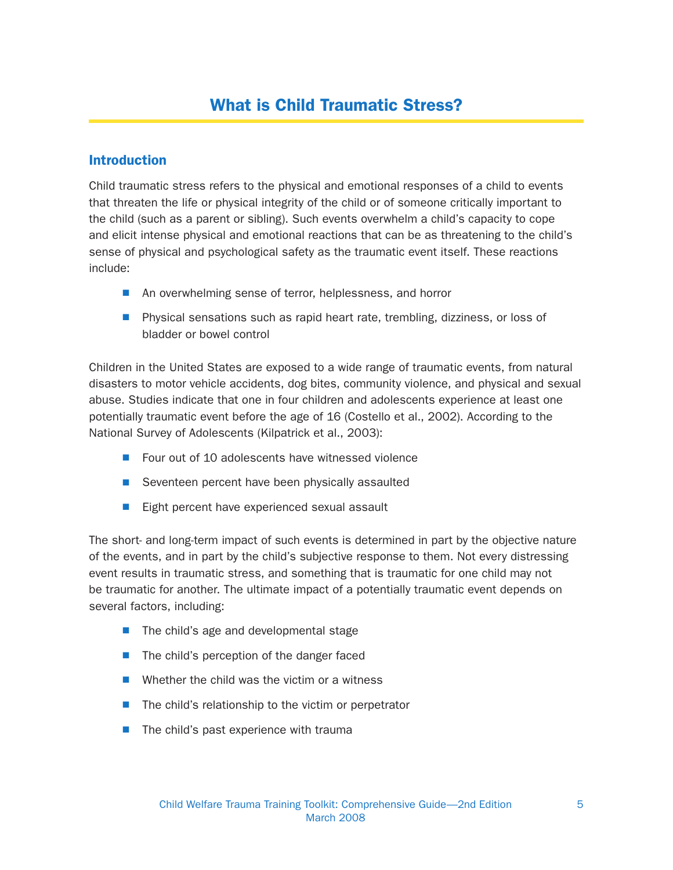#### **Introduction**

Child traumatic stress refers to the physical and emotional responses of a child to events that threaten the life or physical integrity of the child or of someone critically important to the child (such as a parent or sibling). Such events overwhelm a child's capacity to cope and elicit intense physical and emotional reactions that can be as threatening to the child's sense of physical and psychological safety as the traumatic event itself. These reactions include:

- An overwhelming sense of terror, helplessness, and horror
- **N** Physical sensations such as rapid heart rate, trembling, dizziness, or loss of bladder or bowel control

Children in the United States are exposed to a wide range of traumatic events, from natural disasters to motor vehicle accidents, dog bites, community violence, and physical and sexual abuse. Studies indicate that one in four children and adolescents experience at least one potentially traumatic event before the age of 16 (Costello et al., 2002). According to the National Survey of Adolescents (Kilpatrick et al., 2003):

- $\blacksquare$  Four out of 10 adolescents have witnessed violence
- $\blacksquare$  Seventeen percent have been physically assaulted
- $\blacksquare$  Eight percent have experienced sexual assault

The short- and long-term impact of such events is determined in part by the objective nature of the events, and in part by the child's subjective response to them. Not every distressing event results in traumatic stress, and something that is traumatic for one child may not be traumatic for another. The ultimate impact of a potentially traumatic event depends on several factors, including:

- $\blacksquare$  The child's age and developmental stage
- $\blacksquare$  The child's perception of the danger faced
- $\blacksquare$  Whether the child was the victim or a witness
- $\blacksquare$  The child's relationship to the victim or perpetrator
- $\blacksquare$  The child's past experience with trauma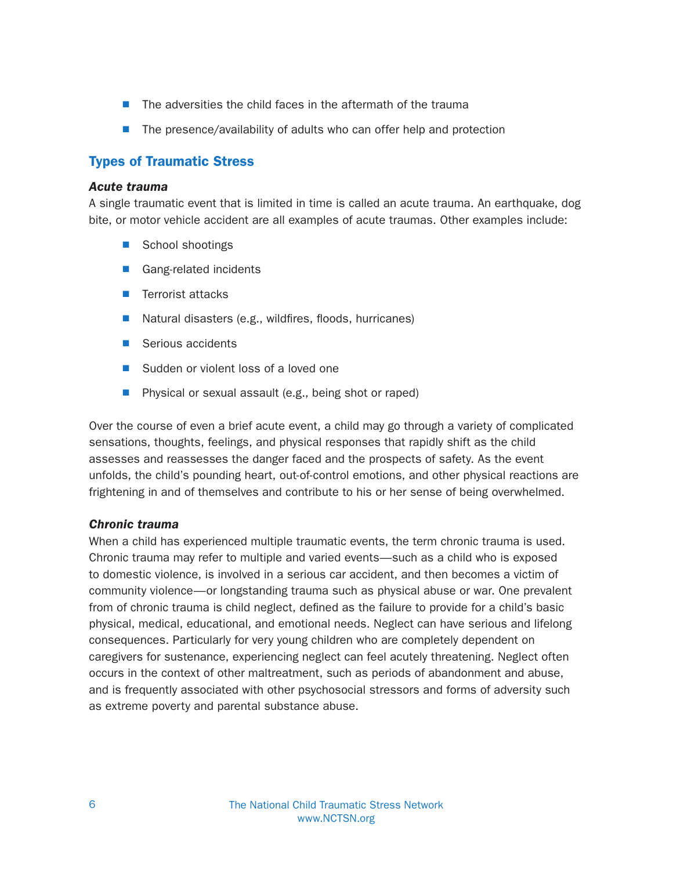- $\blacksquare$  The adversities the child faces in the aftermath of the trauma
- $\blacksquare$  The presence/availability of adults who can offer help and protection

#### Types of Traumatic Stress

#### Acute trauma

A single traumatic event that is limited in time is called an acute trauma. An earthquake, dog bite, or motor vehicle accident are all examples of acute traumas. Other examples include:

- School shootings
- Gang-related incidents
- **N** Terrorist attacks
- $\blacksquare$  Natural disasters (e.g., wild fires, floods, hurricanes)
- Serious accidents
- Sudden or violent loss of a loved one
- $\blacksquare$  Physical or sexual assault (e.g., being shot or raped)

Over the course of even a brief acute event, a child may go through a variety of complicated sensations, thoughts, feelings, and physical responses that rapidly shift as the child assesses and reassesses the danger faced and the prospects of safety. As the event unfolds, the child's pounding heart, out-of-control emotions, and other physical reactions are frightening in and of themselves and contribute to his or her sense of being overwhelmed.

#### Chronic trauma

When a child has experienced multiple traumatic events, the term chronic trauma is used. Chronic trauma may refer to multiple and varied events—such as a child who is exposed to domestic violence, is involved in a serious car accident, and then becomes a victim of community violence—or longstanding trauma such as physical abuse or war. One prevalent from of chronic trauma is child neglect, defined as the failure to provide for a child's basic physical, medical, educational, and emotional needs. Neglect can have serious and lifelong consequences. Particularly for very young children who are completely dependent on caregivers for sustenance, experiencing neglect can feel acutely threatening. Neglect often occurs in the context of other maltreatment, such as periods of abandonment and abuse, and is frequently associated with other psychosocial stressors and forms of adversity such as extreme poverty and parental substance abuse.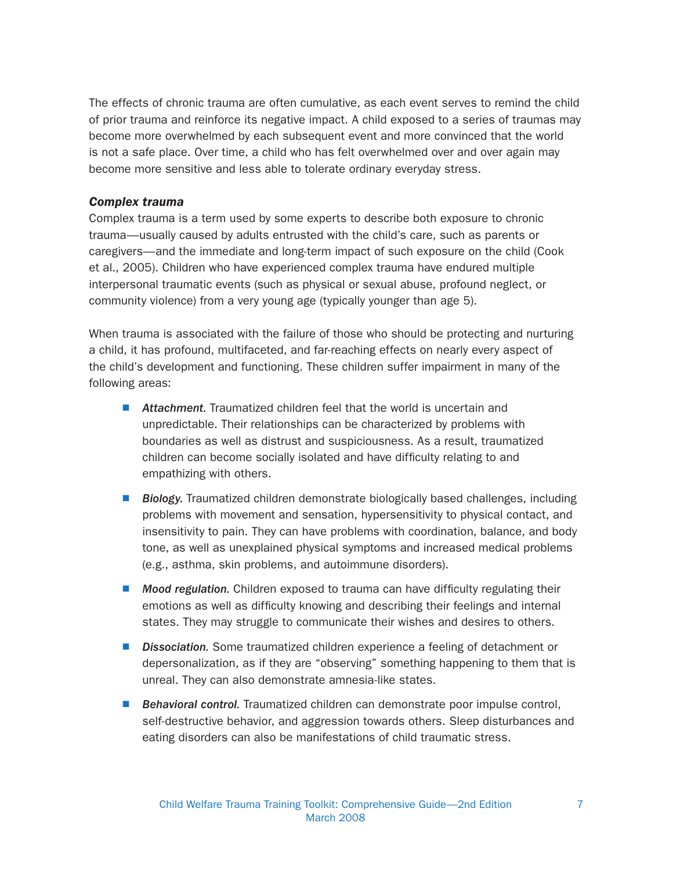The effects of chronic trauma are often cumulative, as each event serves to remind the child of prior trauma and reinforce its negative impact. A child exposed to a series of traumas may become more overwhelmed by each subsequent event and more convinced that the world is not a safe place. Over time, a child who has felt overwhelmed over and over again may become more sensitive and less able to tolerate ordinary everyday stress.

#### Complex trauma

Complex trauma is a term used by some experts to describe both exposure to chronic trauma—usually caused by adults entrusted with the child's care, such as parents or caregivers—and the immediate and long-term impact of such exposure on the child (Cook et al., 2005). Children who have experienced complex trauma have endured multiple interpersonal traumatic events (such as physical or sexual abuse, profound neglect, or community violence) from a very young age (typically younger than age 5).

When trauma is associated with the failure of those who should be protecting and nurturing a child, it has profound, multifaceted, and far-reaching effects on nearly every aspect of the child's development and functioning. These children suffer impairment in many of the following areas:

- $\blacksquare$  Attachment. Traumatized children feel that the world is uncertain and unpredictable. Their relationships can be characterized by problems with boundaries as well as distrust and suspiciousness. As a result, traumatized children can become socially isolated and have difficulty relating to and empathizing with others.
- Biology. Traumatized children demonstrate biologically based challenges, including problems with movement and sensation, hypersensitivity to physical contact, and insensitivity to pain. They can have problems with coordination, balance, and body tone, as well as unexplained physical symptoms and increased medical problems (e.g., asthma, skin problems, and autoimmune disorders).
- Mood regulation. Children exposed to trauma can have difficulty regulating their emotions as well as difficulty knowing and describing their feelings and internal states. They may struggle to communicate their wishes and desires to others.
- **Dissociation.** Some traumatized children experience a feeling of detachment or depersonalization, as if they are "observing" something happening to them that is unreal. They can also demonstrate amnesia-like states.
- Behavioral control. Traumatized children can demonstrate poor impulse control, self-destructive behavior, and aggression towards others. Sleep disturbances and eating disorders can also be manifestations of child traumatic stress.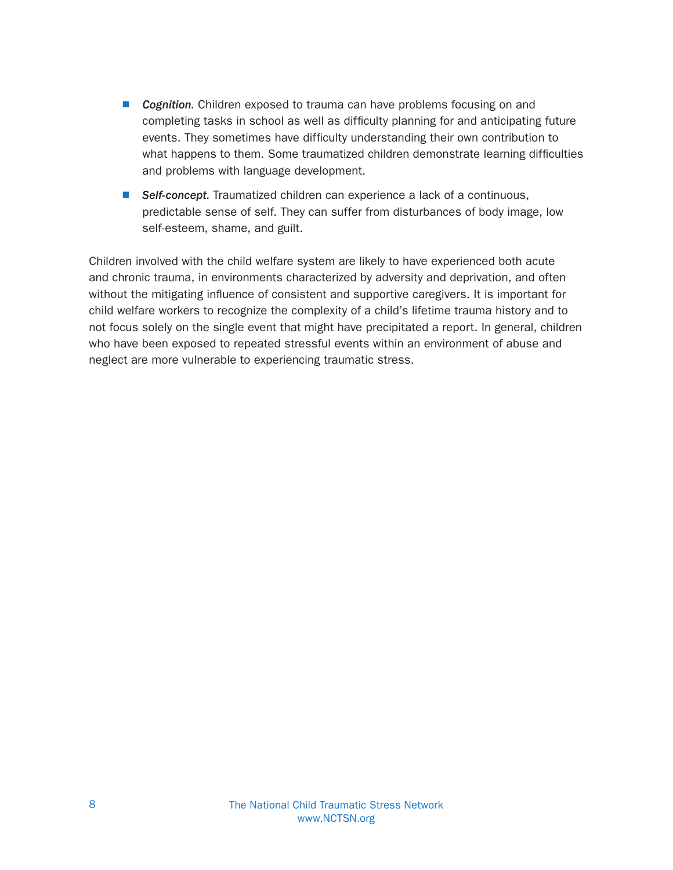- **D** Cognition. Children exposed to trauma can have problems focusing on and completing tasks in school as well as difficulty planning for and anticipating future events. They sometimes have difficulty understanding their own contribution to what happens to them. Some traumatized children demonstrate learning difficulties and problems with language development.
- Self-concept. Traumatized children can experience a lack of a continuous, predictable sense of self. They can suffer from disturbances of body image, low self-esteem, shame, and guilt.

Children involved with the child welfare system are likely to have experienced both acute and chronic trauma, in environments characterized by adversity and deprivation, and often without the mitigating influence of consistent and supportive caregivers. It is important for child welfare workers to recognize the complexity of a child's lifetime trauma history and to not focus solely on the single event that might have precipitated a report. In general, children who have been exposed to repeated stressful events within an environment of abuse and neglect are more vulnerable to experiencing traumatic stress.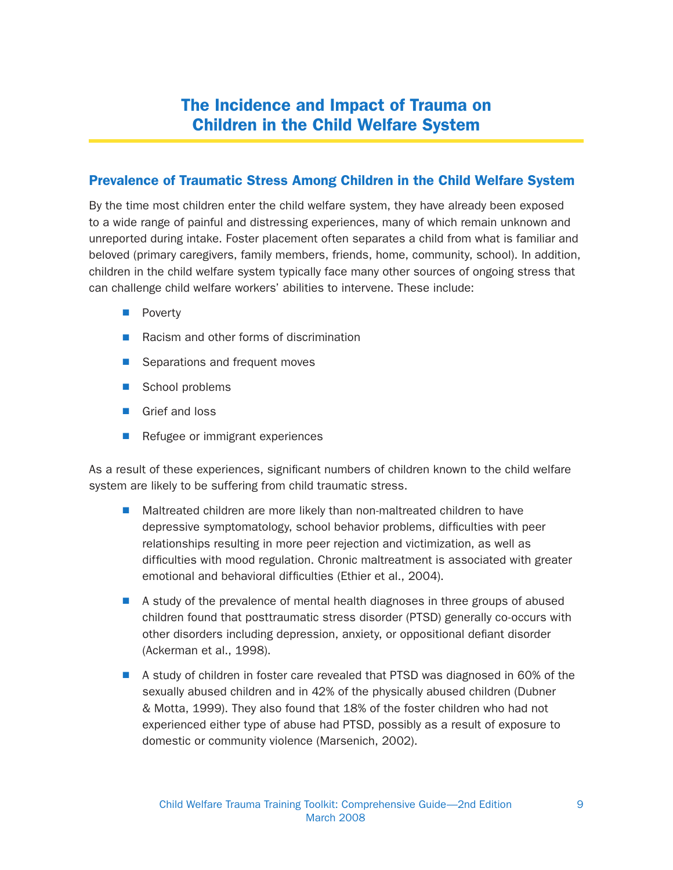## The Incidence and Impact of Trauma on Children in the Child Welfare System

#### Prevalence of Traumatic Stress Among Children in the Child Welfare System

By the time most children enter the child welfare system, they have already been exposed to a wide range of painful and distressing experiences, many of which remain unknown and unreported during intake. Foster placement often separates a child from what is familiar and beloved (primary caregivers, family members, friends, home, community, school). In addition, children in the child welfare system typically face many other sources of ongoing stress that can challenge child welfare workers' abilities to intervene. These include:

- **N** Poverty
- $\blacksquare$  Racism and other forms of discrimination
- Separations and frequent moves
- School problems
- **N** Grief and loss
- $\blacksquare$  Refugee or immigrant experiences

As a result of these experiences, significant numbers of children known to the child welfare system are likely to be suffering from child traumatic stress.

- $\blacksquare$  Maltreated children are more likely than non-maltreated children to have depressive symptomatology, school behavior problems, difficulties with peer relationships resulting in more peer rejection and victimization, as well as difficulties with mood regulation. Chronic maltreatment is associated with greater emotional and behavioral difficulties (Ethier et al., 2004).
- A study of the prevalence of mental health diagnoses in three groups of abused children found that posttraumatic stress disorder (PTSD) generally co-occurs with other disorders including depression, anxiety, or oppositional defiant disorder (Ackerman et al., 1998).
- $\blacksquare$  A study of children in foster care revealed that PTSD was diagnosed in 60% of the sexually abused children and in 42% of the physically abused children (Dubner & Motta, 1999). They also found that 18% of the foster children who had not experienced either type of abuse had PTSD, possibly as a result of exposure to domestic or community violence (Marsenich, 2002).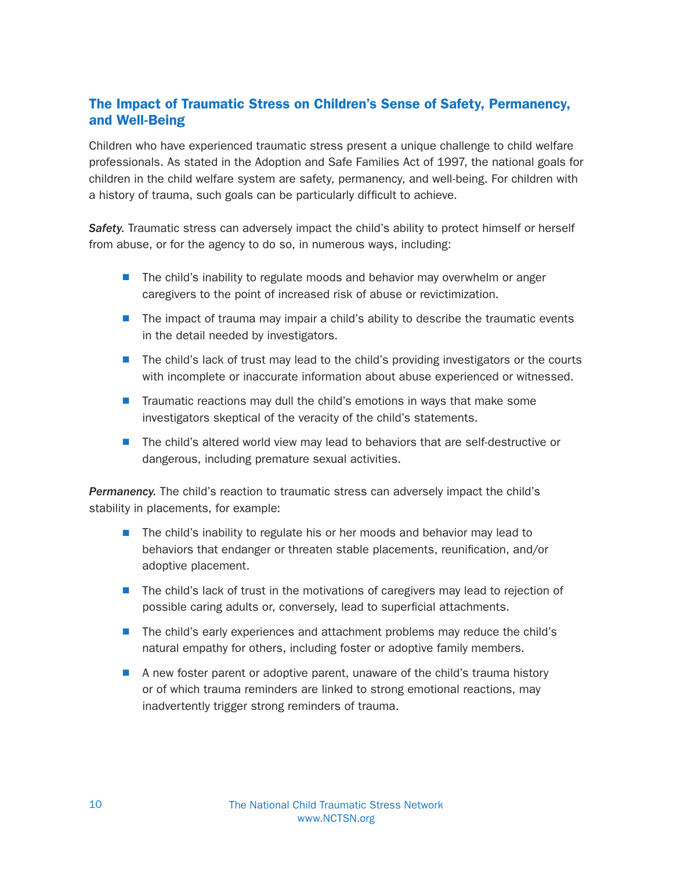#### The Impact of Traumatic Stress on Children's Sense of Safety, Permanency, and Well-Being

Children who have experienced traumatic stress present a unique challenge to child welfare professionals. As stated in the Adoption and Safe Families Act of 1997, the national goals for children in the child welfare system are safety, permanency, and well-being. For children with a history of trauma, such goals can be particularly difficult to achieve.

Safety. Traumatic stress can adversely impact the child's ability to protect himself or herself from abuse, or for the agency to do so, in numerous ways, including:

- The child's inability to regulate moods and behavior may overwhelm or anger caregivers to the point of increased risk of abuse or revictimization.
- $\blacksquare$  The impact of trauma may impair a child's ability to describe the traumatic events in the detail needed by investigators.
- The child's lack of trust may lead to the child's providing investigators or the courts with incomplete or inaccurate information about abuse experienced or witnessed.
- Traumatic reactions may dull the child's emotions in ways that make some investigators skeptical of the veracity of the child's statements.
- The child's altered world view may lead to behaviors that are self-destructive or dangerous, including premature sexual activities.

**Permanency.** The child's reaction to traumatic stress can adversely impact the child's stability in placements, for example:

- The child's inability to regulate his or her moods and behavior may lead to behaviors that endanger or threaten stable placements, reunification, and/or adoptive placement.
- $\blacksquare$  The child's lack of trust in the motivations of caregivers may lead to rejection of possible caring adults or, conversely, lead to superficial attachments.
- The child's early experiences and attachment problems may reduce the child's natural empathy for others, including foster or adoptive family members.
- A new foster parent or adoptive parent, unaware of the child's trauma history or of which trauma reminders are linked to strong emotional reactions, may inadvertently trigger strong reminders of trauma.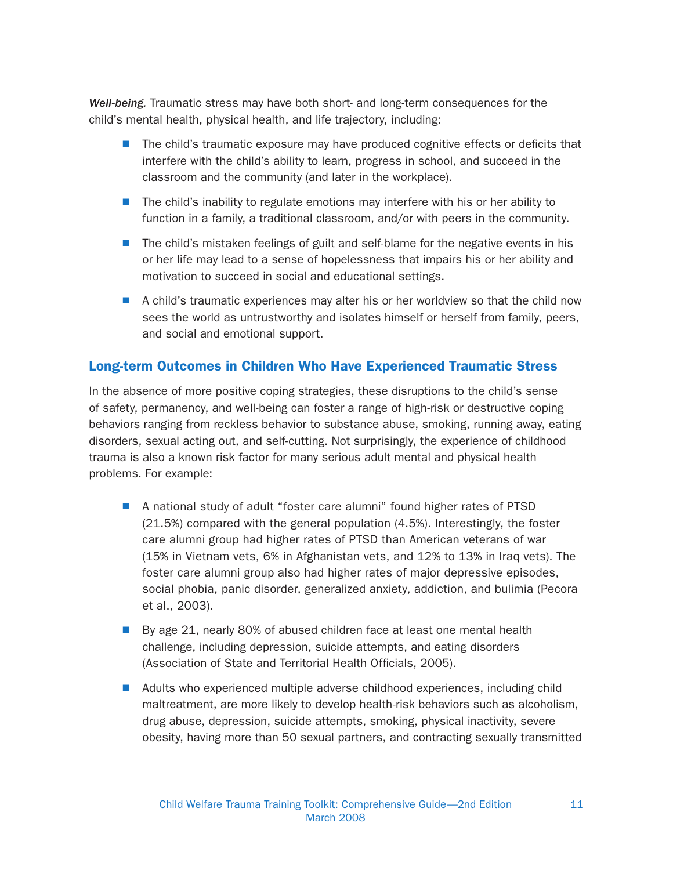Well-being. Traumatic stress may have both short- and long-term consequences for the child's mental health, physical health, and life trajectory, including:

- $\blacksquare$  The child's traumatic exposure may have produced cognitive effects or deficits that interfere with the child's ability to learn, progress in school, and succeed in the classroom and the community (and later in the workplace).
- $\blacksquare$  The child's inability to regulate emotions may interfere with his or her ability to function in a family, a traditional classroom, and/or with peers in the community.
- The child's mistaken feelings of guilt and self-blame for the negative events in his or her life may lead to a sense of hopelessness that impairs his or her ability and motivation to succeed in social and educational settings.
- $\blacksquare$  A child's traumatic experiences may alter his or her worldview so that the child now sees the world as untrustworthy and isolates himself or herself from family, peers, and social and emotional support.

#### Long-term Outcomes in Children Who Have Experienced Traumatic Stress

In the absence of more positive coping strategies, these disruptions to the child's sense of safety, permanency, and well-being can foster a range of high-risk or destructive coping behaviors ranging from reckless behavior to substance abuse, smoking, running away, eating disorders, sexual acting out, and self-cutting. Not surprisingly, the experience of childhood trauma is also a known risk factor for many serious adult mental and physical health problems. For example:

- A national study of adult "foster care alumni" found higher rates of PTSD (21.5%) compared with the general population (4.5%). Interestingly, the foster care alumni group had higher rates of PTSD than American veterans of war (15% in Vietnam vets, 6% in Afghanistan vets, and 12% to 13% in Iraq vets). The foster care alumni group also had higher rates of major depressive episodes, social phobia, panic disorder, generalized anxiety, addiction, and bulimia (Pecora et al., 2003).
- By age 21, nearly 80% of abused children face at least one mental health challenge, including depression, suicide attempts, and eating disorders (Association of State and Territorial Health Officials, 2005).
- Adults who experienced multiple adverse childhood experiences, including child maltreatment, are more likely to develop health-risk behaviors such as alcoholism, drug abuse, depression, suicide attempts, smoking, physical inactivity, severe obesity, having more than 50 sexual partners, and contracting sexually transmitted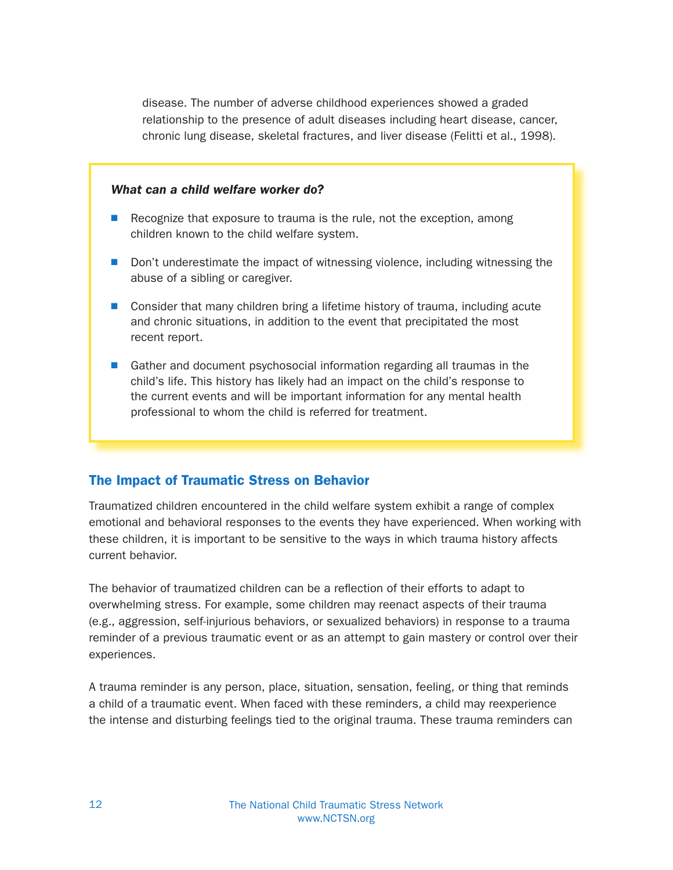disease. The number of adverse childhood experiences showed a graded relationship to the presence of adult diseases including heart disease, cancer, chronic lung disease, skeletal fractures, and liver disease (Felitti et al., 1998).

#### What can a child welfare worker do?

- $\blacksquare$  Recognize that exposure to trauma is the rule, not the exception, among children known to the child welfare system.
- Don't underestimate the impact of witnessing violence, including witnessing the abuse of a sibling or caregiver.
- Consider that many children bring a lifetime history of trauma, including acute and chronic situations, in addition to the event that precipitated the most recent report.
- Gather and document psychosocial information regarding all traumas in the child's life. This history has likely had an impact on the child's response to the current events and will be important information for any mental health professional to whom the child is referred for treatment.

#### The Impact of Traumatic Stress on Behavior

Traumatized children encountered in the child welfare system exhibit a range of complex emotional and behavioral responses to the events they have experienced. When working with these children, it is important to be sensitive to the ways in which trauma history affects current behavior.

The behavior of traumatized children can be a reflection of their efforts to adapt to overwhelming stress. For example, some children may reenact aspects of their trauma (e.g., aggression, self-injurious behaviors, or sexualized behaviors) in response to a trauma reminder of a previous traumatic event or as an attempt to gain mastery or control over their experiences.

A trauma reminder is any person, place, situation, sensation, feeling, or thing that reminds a child of a traumatic event. When faced with these reminders, a child may reexperience the intense and disturbing feelings tied to the original trauma. These trauma reminders can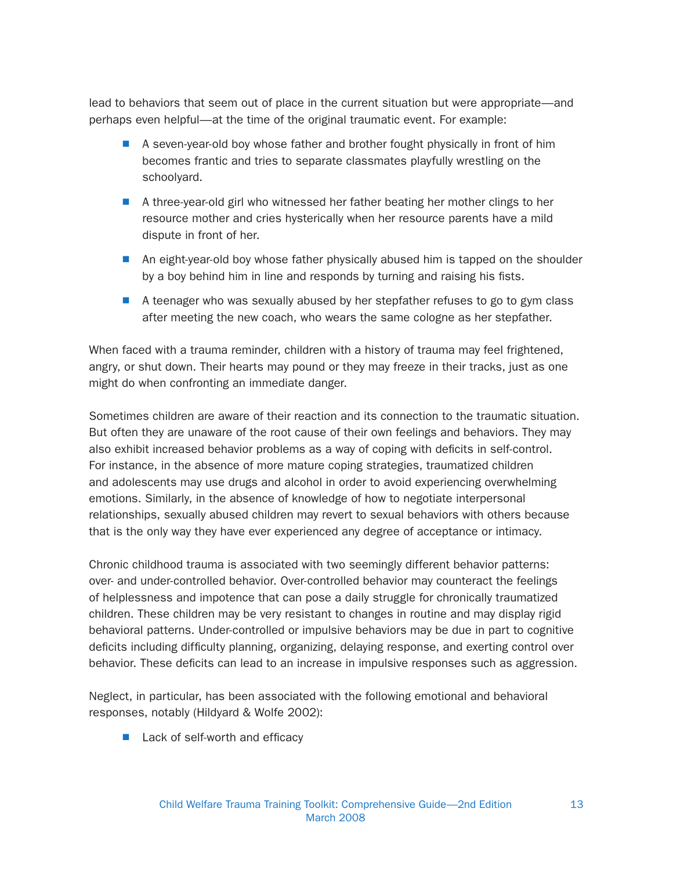lead to behaviors that seem out of place in the current situation but were appropriate—and perhaps even helpful—at the time of the original traumatic event. For example:

- $\blacksquare$  A seven-year-old boy whose father and brother fought physically in front of him becomes frantic and tries to separate classmates playfully wrestling on the schoolyard.
- A three-year-old girl who witnessed her father beating her mother clings to her resource mother and cries hysterically when her resource parents have a mild dispute in front of her.
- **An eight-year-old boy whose father physically abused him is tapped on the shoulder** by a boy behind him in line and responds by turning and raising his fists.
- $\blacksquare$  A teenager who was sexually abused by her stepfather refuses to go to gym class after meeting the new coach, who wears the same cologne as her stepfather.

When faced with a trauma reminder, children with a history of trauma may feel frightened, angry, or shut down. Their hearts may pound or they may freeze in their tracks, just as one might do when confronting an immediate danger.

Sometimes children are aware of their reaction and its connection to the traumatic situation. But often they are unaware of the root cause of their own feelings and behaviors. They may also exhibit increased behavior problems as a way of coping with deficits in self-control. For instance, in the absence of more mature coping strategies, traumatized children and adolescents may use drugs and alcohol in order to avoid experiencing overwhelming emotions. Similarly, in the absence of knowledge of how to negotiate interpersonal relationships, sexually abused children may revert to sexual behaviors with others because that is the only way they have ever experienced any degree of acceptance or intimacy.

Chronic childhood trauma is associated with two seemingly different behavior patterns: over- and under-controlled behavior. Over-controlled behavior may counteract the feelings of helplessness and impotence that can pose a daily struggle for chronically traumatized children. These children may be very resistant to changes in routine and may display rigid behavioral patterns. Under-controlled or impulsive behaviors may be due in part to cognitive deficits including difficulty planning, organizing, delaying response, and exerting control over behavior. These deficits can lead to an increase in impulsive responses such as aggression.

Neglect, in particular, has been associated with the following emotional and behavioral responses, notably (Hildyard & Wolfe 2002):

 $\blacksquare$  Lack of self-worth and efficacy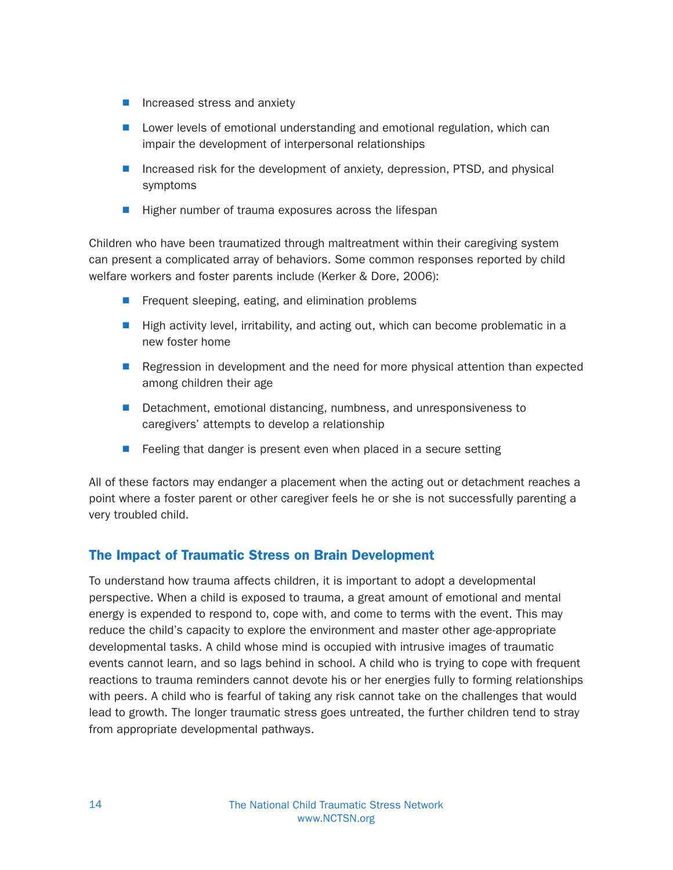- $\blacksquare$  Increased stress and anxiety
- **N** Lower levels of emotional understanding and emotional regulation, which can impair the development of interpersonal relationships
- Increased risk for the development of anxiety, depression, PTSD, and physical symptoms
- $\blacksquare$  Higher number of trauma exposures across the lifespan

Children who have been traumatized through maltreatment within their caregiving system can present a complicated array of behaviors. Some common responses reported by child welfare workers and foster parents include (Kerker & Dore, 2006):

- $\blacksquare$  Frequent sleeping, eating, and elimination problems
- $\blacksquare$  High activity level, irritability, and acting out, which can become problematic in a new foster home
- **Regression in development and the need for more physical attention than expected** among children their age
- Detachment, emotional distancing, numbness, and unresponsiveness to caregivers' attempts to develop a relationship
- $\blacksquare$  Feeling that danger is present even when placed in a secure setting

All of these factors may endanger a placement when the acting out or detachment reaches a point where a foster parent or other caregiver feels he or she is not successfully parenting a very troubled child.

#### The Impact of Traumatic Stress on Brain Development

To understand how trauma affects children, it is important to adopt a developmental perspective. When a child is exposed to trauma, a great amount of emotional and mental energy is expended to respond to, cope with, and come to terms with the event. This may reduce the child's capacity to explore the environment and master other age-appropriate developmental tasks. A child whose mind is occupied with intrusive images of traumatic events cannot learn, and so lags behind in school. A child who is trying to cope with frequent reactions to trauma reminders cannot devote his or her energies fully to forming relationships with peers. A child who is fearful of taking any risk cannot take on the challenges that would lead to growth. The longer traumatic stress goes untreated, the further children tend to stray from appropriate developmental pathways.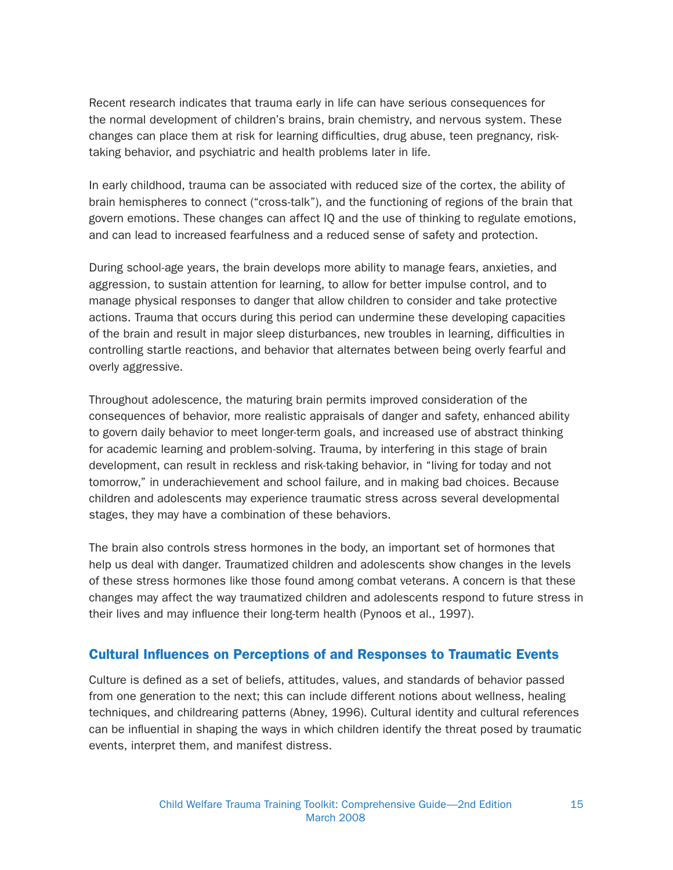Recent research indicates that trauma early in life can have serious consequences for the normal development of children's brains, brain chemistry, and nervous system. These changes can place them at risk for learning difficulties, drug abuse, teen pregnancy, risktaking behavior, and psychiatric and health problems later in life.

In early childhood, trauma can be associated with reduced size of the cortex, the ability of brain hemispheres to connect ("cross-talk"), and the functioning of regions of the brain that govern emotions. These changes can affect IQ and the use of thinking to regulate emotions, and can lead to increased fearfulness and a reduced sense of safety and protection.

During school-age years, the brain develops more ability to manage fears, anxieties, and aggression, to sustain attention for learning, to allow for better impulse control, and to manage physical responses to danger that allow children to consider and take protective actions. Trauma that occurs during this period can undermine these developing capacities of the brain and result in major sleep disturbances, new troubles in learning, difficulties in controlling startle reactions, and behavior that alternates between being overly fearful and overly aggressive.

Throughout adolescence, the maturing brain permits improved consideration of the consequences of behavior, more realistic appraisals of danger and safety, enhanced ability to govern daily behavior to meet longer-term goals, and increased use of abstract thinking for academic learning and problem-solving. Trauma, by interfering in this stage of brain development, can result in reckless and risk-taking behavior, in "living for today and not tomorrow," in underachievement and school failure, and in making bad choices. Because children and adolescents may experience traumatic stress across several developmental stages, they may have a combination of these behaviors.

The brain also controls stress hormones in the body, an important set of hormones that help us deal with danger. Traumatized children and adolescents show changes in the levels of these stress hormones like those found among combat veterans. A concern is that these changes may affect the way traumatized children and adolescents respond to future stress in their lives and may influence their long-term health (Pynoos et al., 1997).

#### Cultural Influences on Perceptions of and Responses to Traumatic Events

Culture is defined as a set of beliefs, attitudes, values, and standards of behavior passed from one generation to the next; this can include different notions about wellness, healing techniques, and childrearing patterns (Abney, 1996). Cultural identity and cultural references can be influential in shaping the ways in which children identify the threat posed by traumatic events, interpret them, and manifest distress.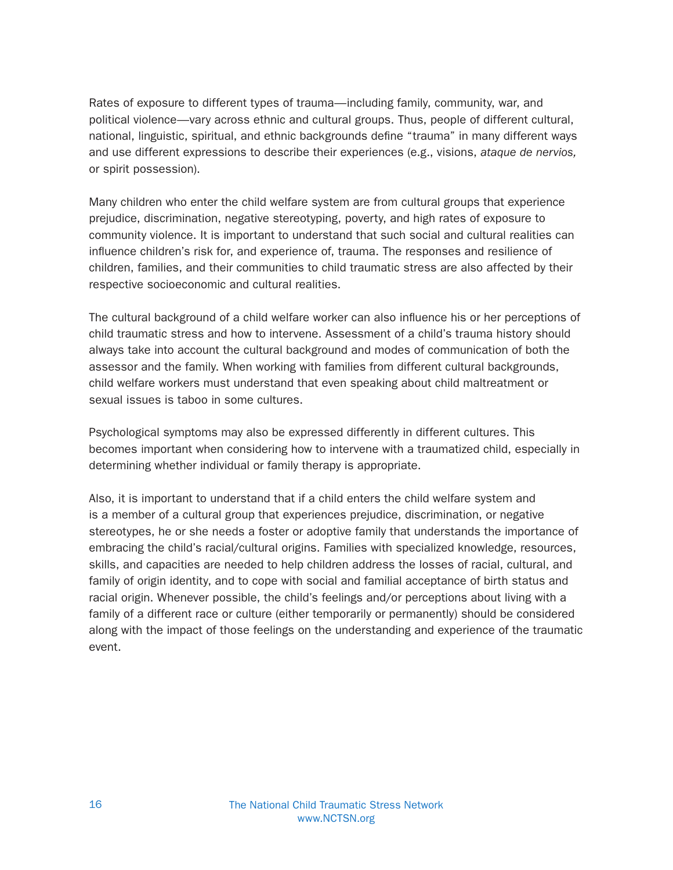Rates of exposure to different types of trauma—including family, community, war, and political violence—vary across ethnic and cultural groups. Thus, people of different cultural, national, linguistic, spiritual, and ethnic backgrounds define "trauma" in many different ways and use different expressions to describe their experiences (e.g., visions, ataque de nervios, or spirit possession).

Many children who enter the child welfare system are from cultural groups that experience prejudice, discrimination, negative stereotyping, poverty, and high rates of exposure to community violence. It is important to understand that such social and cultural realities can influence children's risk for, and experience of, trauma. The responses and resilience of children, families, and their communities to child traumatic stress are also affected by their respective socioeconomic and cultural realities.

The cultural background of a child welfare worker can also influence his or her perceptions of child traumatic stress and how to intervene. Assessment of a child's trauma history should always take into account the cultural background and modes of communication of both the assessor and the family. When working with families from different cultural backgrounds, child welfare workers must understand that even speaking about child maltreatment or sexual issues is taboo in some cultures.

Psychological symptoms may also be expressed differently in different cultures. This becomes important when considering how to intervene with a traumatized child, especially in determining whether individual or family therapy is appropriate.

Also, it is important to understand that if a child enters the child welfare system and is a member of a cultural group that experiences prejudice, discrimination, or negative stereotypes, he or she needs a foster or adoptive family that understands the importance of embracing the child's racial/cultural origins. Families with specialized knowledge, resources, skills, and capacities are needed to help children address the losses of racial, cultural, and family of origin identity, and to cope with social and familial acceptance of birth status and racial origin. Whenever possible, the child's feelings and/or perceptions about living with a family of a different race or culture (either temporarily or permanently) should be considered along with the impact of those feelings on the understanding and experience of the traumatic event.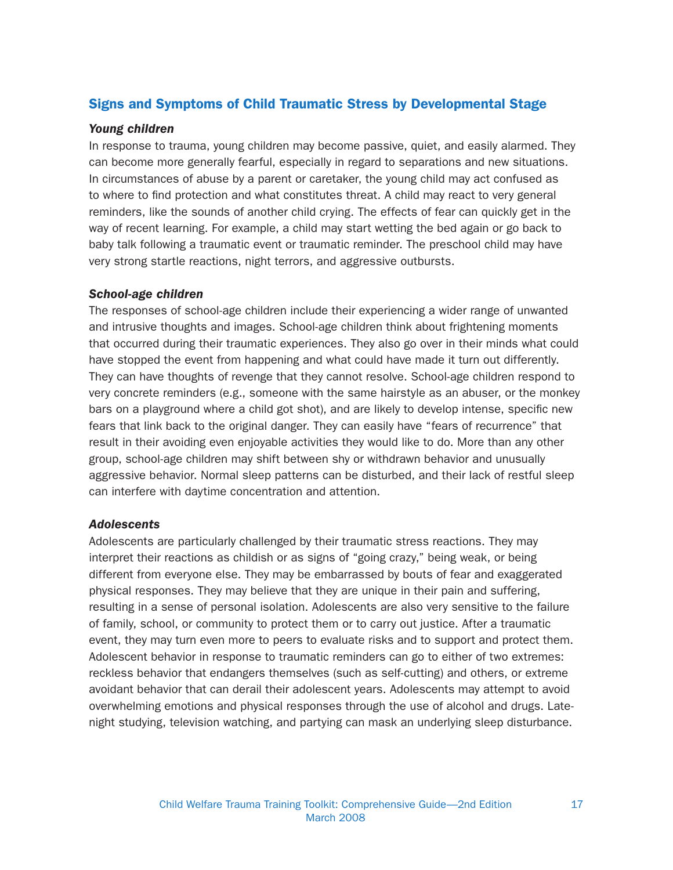#### Signs and Symptoms of Child Traumatic Stress by Developmental Stage

#### Young children

In response to trauma, young children may become passive, quiet, and easily alarmed. They can become more generally fearful, especially in regard to separations and new situations. In circumstances of abuse by a parent or caretaker, the young child may act confused as to where to find protection and what constitutes threat. A child may react to very general reminders, like the sounds of another child crying. The effects of fear can quickly get in the way of recent learning. For example, a child may start wetting the bed again or go back to baby talk following a traumatic event or traumatic reminder. The preschool child may have very strong startle reactions, night terrors, and aggressive outbursts.

#### School-age children

The responses of school-age children include their experiencing a wider range of unwanted and intrusive thoughts and images. School-age children think about frightening moments that occurred during their traumatic experiences. They also go over in their minds what could have stopped the event from happening and what could have made it turn out differently. They can have thoughts of revenge that they cannot resolve. School-age children respond to very concrete reminders (e.g., someone with the same hairstyle as an abuser, or the monkey bars on a playground where a child got shot), and are likely to develop intense, specific new fears that link back to the original danger. They can easily have "fears of recurrence" that result in their avoiding even enjoyable activities they would like to do. More than any other group, school-age children may shift between shy or withdrawn behavior and unusually aggressive behavior. Normal sleep patterns can be disturbed, and their lack of restful sleep can interfere with daytime concentration and attention.

#### **Adolescents**

Adolescents are particularly challenged by their traumatic stress reactions. They may interpret their reactions as childish or as signs of "going crazy," being weak, or being different from everyone else. They may be embarrassed by bouts of fear and exaggerated physical responses. They may believe that they are unique in their pain and suffering, resulting in a sense of personal isolation. Adolescents are also very sensitive to the failure of family, school, or community to protect them or to carry out justice. After a traumatic event, they may turn even more to peers to evaluate risks and to support and protect them. Adolescent behavior in response to traumatic reminders can go to either of two extremes: reckless behavior that endangers themselves (such as self-cutting) and others, or extreme avoidant behavior that can derail their adolescent years. Adolescents may attempt to avoid overwhelming emotions and physical responses through the use of alcohol and drugs. Latenight studying, television watching, and partying can mask an underlying sleep disturbance.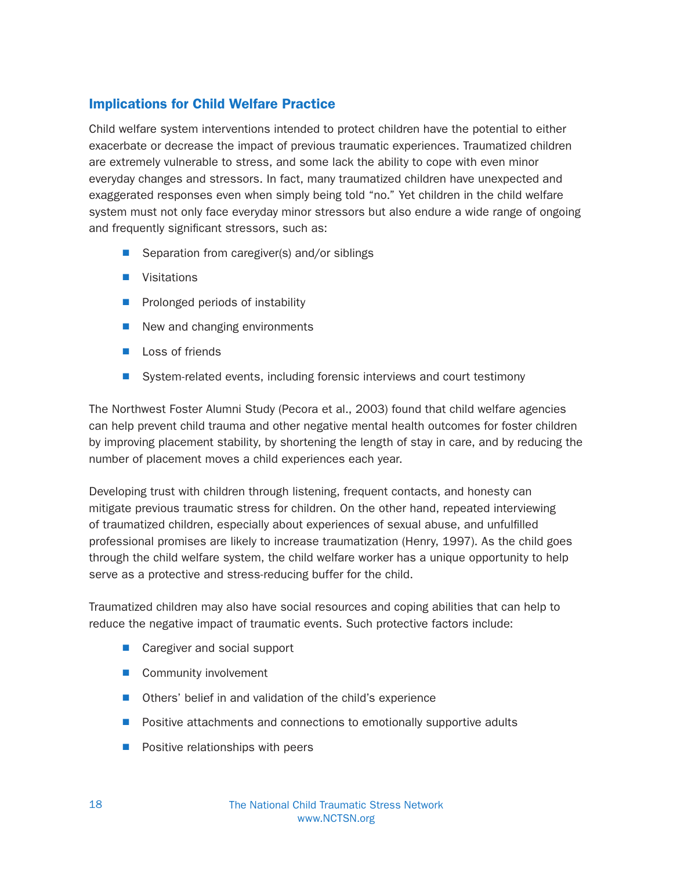#### Implications for Child Welfare Practice

Child welfare system interventions intended to protect children have the potential to either exacerbate or decrease the impact of previous traumatic experiences. Traumatized children are extremely vulnerable to stress, and some lack the ability to cope with even minor everyday changes and stressors. In fact, many traumatized children have unexpected and exaggerated responses even when simply being told "no." Yet children in the child welfare system must not only face everyday minor stressors but also endure a wide range of ongoing and frequently significant stressors, such as:

- $\blacksquare$  Separation from caregiver(s) and/or siblings
- **N** Visitations
- $\blacksquare$  Prolonged periods of instability
- $\blacksquare$  New and changing environments
- $\blacksquare$  Loss of friends
- System-related events, including forensic interviews and court testimony

The Northwest Foster Alumni Study (Pecora et al., 2003) found that child welfare agencies can help prevent child trauma and other negative mental health outcomes for foster children by improving placement stability, by shortening the length of stay in care, and by reducing the number of placement moves a child experiences each year.

Developing trust with children through listening, frequent contacts, and honesty can mitigate previous traumatic stress for children. On the other hand, repeated interviewing of traumatized children, especially about experiences of sexual abuse, and unfulfilled professional promises are likely to increase traumatization (Henry, 1997). As the child goes through the child welfare system, the child welfare worker has a unique opportunity to help serve as a protective and stress-reducing buffer for the child.

Traumatized children may also have social resources and coping abilities that can help to reduce the negative impact of traumatic events. Such protective factors include:

- Caregiver and social support
- Community involvement
- $\blacksquare$  Others' belief in and validation of the child's experience
- **N** Positive attachments and connections to emotionally supportive adults
- $\blacksquare$  Positive relationships with peers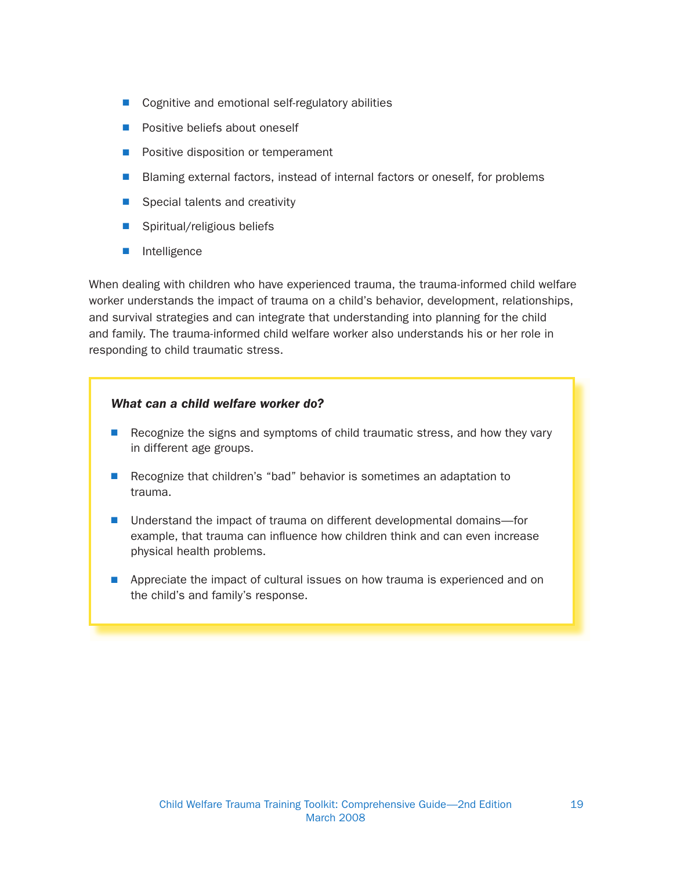- $\Box$  Cognitive and emotional self-regulatory abilities
- **Positive beliefs about oneself**
- Positive disposition or temperament
- Blaming external factors, instead of internal factors or oneself, for problems
- $\blacksquare$  Special talents and creativity
- $\blacksquare$  Spiritual/religious beliefs
- $\blacksquare$  Intelligence

When dealing with children who have experienced trauma, the trauma-informed child welfare worker understands the impact of trauma on a child's behavior, development, relationships, and survival strategies and can integrate that understanding into planning for the child and family. The trauma-informed child welfare worker also understands his or her role in responding to child traumatic stress.

#### What can a child welfare worker do?

- **Recognize the signs and symptoms of child traumatic stress, and how they vary** in different age groups.
- Recognize that children's "bad" behavior is sometimes an adaptation to trauma.
- Understand the impact of trauma on different developmental domains—for example, that trauma can influence how children think and can even increase physical health problems.
- **n** Appreciate the impact of cultural issues on how trauma is experienced and on the child's and family's response.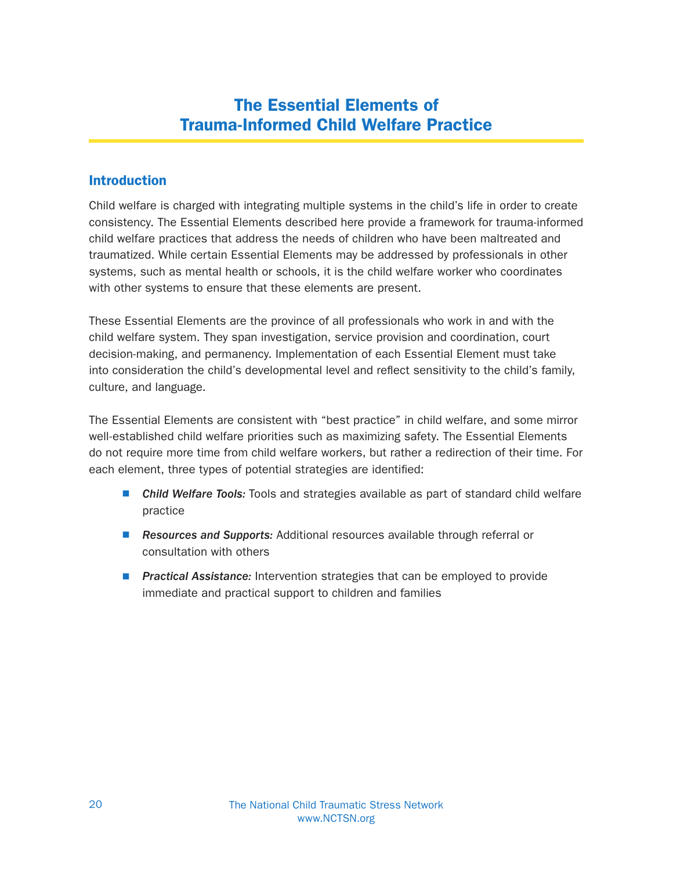## The Essential Elements of Trauma-Informed Child Welfare Practice

#### **Introduction**

Child welfare is charged with integrating multiple systems in the child's life in order to create consistency. The Essential Elements described here provide a framework for trauma-informed child welfare practices that address the needs of children who have been maltreated and traumatized. While certain Essential Elements may be addressed by professionals in other systems, such as mental health or schools, it is the child welfare worker who coordinates with other systems to ensure that these elements are present.

These Essential Elements are the province of all professionals who work in and with the child welfare system. They span investigation, service provision and coordination, court decision-making, and permanency. Implementation of each Essential Element must take into consideration the child's developmental level and reflect sensitivity to the child's family, culture, and language.

The Essential Elements are consistent with "best practice" in child welfare, and some mirror well-established child welfare priorities such as maximizing safety. The Essential Elements do not require more time from child welfare workers, but rather a redirection of their time. For each element, three types of potential strategies are identified:

- Child Welfare Tools: Tools and strategies available as part of standard child welfare practice
- **Resources and Supports:** Additional resources available through referral or consultation with others
- **Practical Assistance:** Intervention strategies that can be employed to provide immediate and practical support to children and families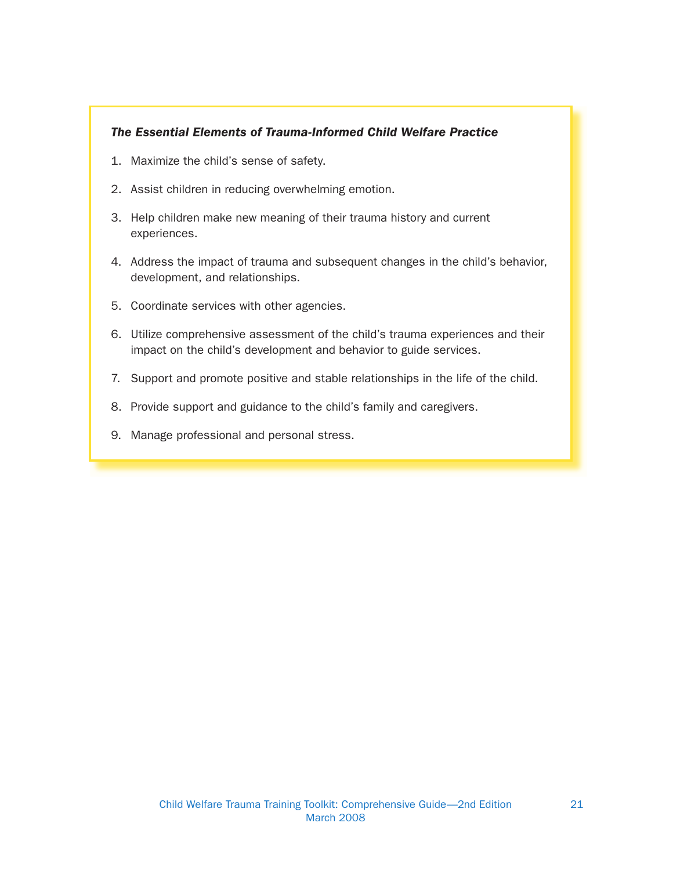#### The Essential Elements of Trauma-Informed Child Welfare Practice

- 1. Maximize the child's sense of safety.
- 2. Assist children in reducing overwhelming emotion.
- 3. Help children make new meaning of their trauma history and current experiences.
- 4. Address the impact of trauma and subsequent changes in the child's behavior, development, and relationships.
- 5. Coordinate services with other agencies.
- 6. Utilize comprehensive assessment of the child's trauma experiences and their impact on the child's development and behavior to guide services.
- 7. Support and promote positive and stable relationships in the life of the child.
- 8. Provide support and guidance to the child's family and caregivers.
- 9. Manage professional and personal stress.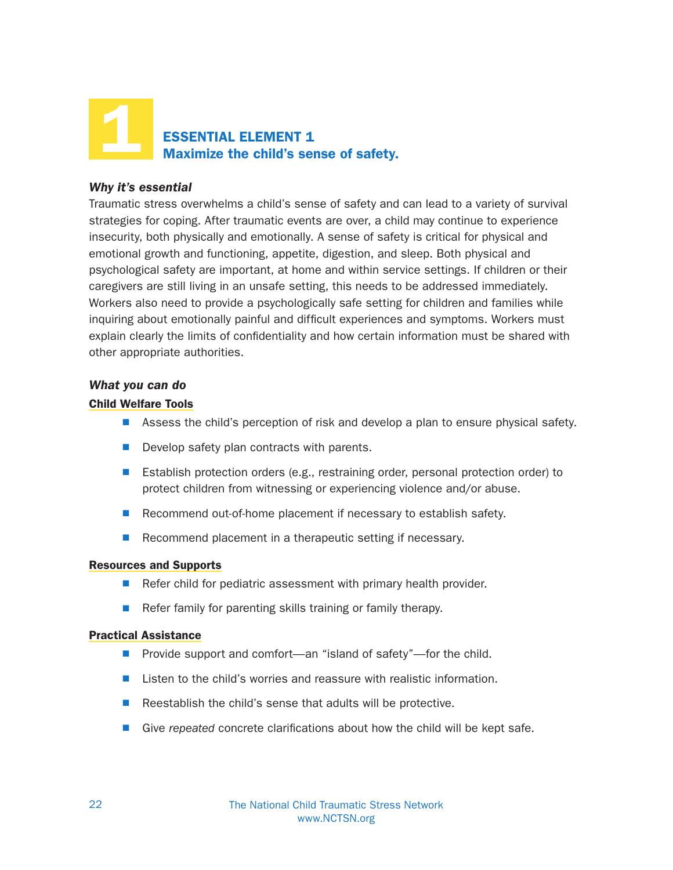

#### Why it's essential

Traumatic stress overwhelms a child's sense of safety and can lead to a variety of survival strategies for coping. After traumatic events are over, a child may continue to experience insecurity, both physically and emotionally. A sense of safety is critical for physical and emotional growth and functioning, appetite, digestion, and sleep. Both physical and psychological safety are important, at home and within service settings. If children or their caregivers are still living in an unsafe setting, this needs to be addressed immediately. Workers also need to provide a psychologically safe setting for children and families while inquiring about emotionally painful and difficult experiences and symptoms. Workers must explain clearly the limits of confidentiality and how certain information must be shared with other appropriate authorities.

#### What you can do

#### Child Welfare Tools

- **N** Assess the child's perception of risk and develop a plan to ensure physical safety.
- $\blacksquare$  Develop safety plan contracts with parents.
- **E** Establish protection orders (e.g., restraining order, personal protection order) to protect children from witnessing or experiencing violence and/or abuse.
- $\blacksquare$  Recommend out-of-home placement if necessary to establish safety.
- $\blacksquare$  Recommend placement in a therapeutic setting if necessary.

#### Resources and Supports

- $\blacksquare$  Refer child for pediatric assessment with primary health provider.
- $\blacksquare$  Refer family for parenting skills training or family therapy.

#### Practical Assistance

- $\blacksquare$  Provide support and comfort—an "island of safety"—for the child.
- $\blacksquare$  Listen to the child's worries and reassure with realistic information.
- $\blacksquare$  Reestablish the child's sense that adults will be protective.
- $\blacksquare$  Give repeated concrete clarifications about how the child will be kept safe.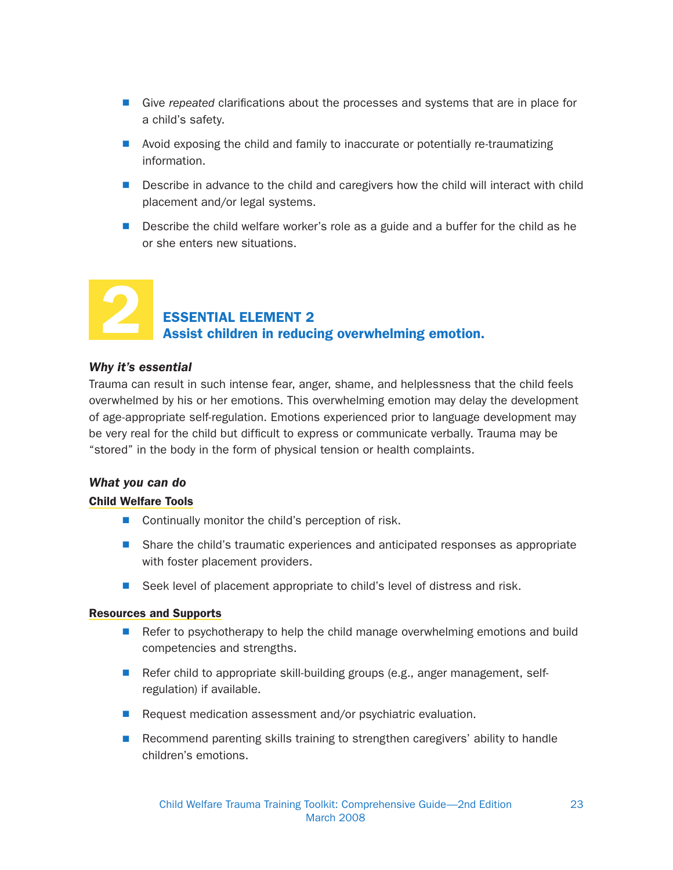- $\blacksquare$  Give repeated clarifications about the processes and systems that are in place for a child's safety.
- $\blacksquare$  Avoid exposing the child and family to inaccurate or potentially re-traumatizing information.
- Describe in advance to the child and caregivers how the child will interact with child placement and/or legal systems.
- Describe the child welfare worker's role as a guide and a buffer for the child as he or she enters new situations.

# 2

## ESSENTIAL ELEMENT 2 Assist children in reducing overwhelming emotion.

#### Why it's essential

Trauma can result in such intense fear, anger, shame, and helplessness that the child feels overwhelmed by his or her emotions. This overwhelming emotion may delay the development of age-appropriate self-regulation. Emotions experienced prior to language development may be very real for the child but difficult to express or communicate verbally. Trauma may be "stored" in the body in the form of physical tension or health complaints.

#### What you can do

#### Child Welfare Tools

- $\blacksquare$  Continually monitor the child's perception of risk.
- Share the child's traumatic experiences and anticipated responses as appropriate with foster placement providers.
- Seek level of placement appropriate to child's level of distress and risk.

#### Resources and Supports

- **Notai** Refer to psychotherapy to help the child manage overwhelming emotions and build competencies and strengths.
- Refer child to appropriate skill-building groups (e.g., anger management, selfregulation) if available.
- Request medication assessment and/or psychiatric evaluation.
- **N** Recommend parenting skills training to strengthen caregivers' ability to handle children's emotions.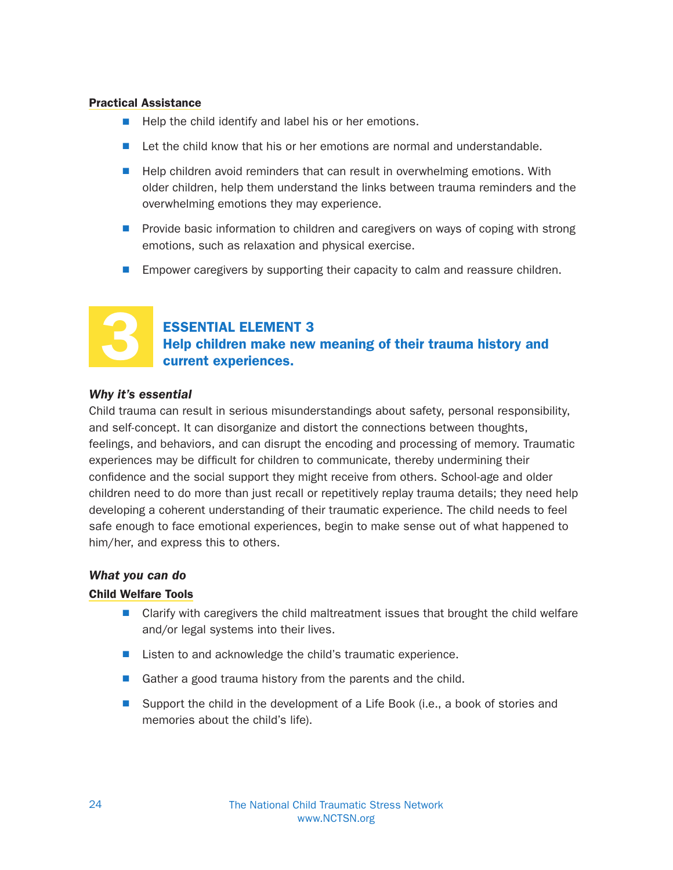#### Practical Assistance

- $\blacksquare$  Help the child identify and label his or her emotions.
- Let the child know that his or her emotions are normal and understandable.
- $\blacksquare$  Help children avoid reminders that can result in overwhelming emotions. With older children, help them understand the links between trauma reminders and the overwhelming emotions they may experience.
- **Provide basic information to children and caregivers on ways of coping with strong** emotions, such as relaxation and physical exercise.
- **Empower caregivers by supporting their capacity to calm and reassure children.**



#### ESSENTIAL ELEMENT 3

Help children make new meaning of their trauma history and current experiences.

#### Why it's essential

Child trauma can result in serious misunderstandings about safety, personal responsibility, and self-concept. It can disorganize and distort the connections between thoughts, feelings, and behaviors, and can disrupt the encoding and processing of memory. Traumatic experiences may be difficult for children to communicate, thereby undermining their confidence and the social support they might receive from others. School-age and older children need to do more than just recall or repetitively replay trauma details; they need help developing a coherent understanding of their traumatic experience. The child needs to feel safe enough to face emotional experiences, begin to make sense out of what happened to him/her, and express this to others.

#### What you can do

#### Child Welfare Tools

- $\blacksquare$  Clarify with caregivers the child maltreatment issues that brought the child welfare and/or legal systems into their lives.
- Listen to and acknowledge the child's traumatic experience.
- Gather a good trauma history from the parents and the child.
- Support the child in the development of a Life Book (i.e., a book of stories and memories about the child's life).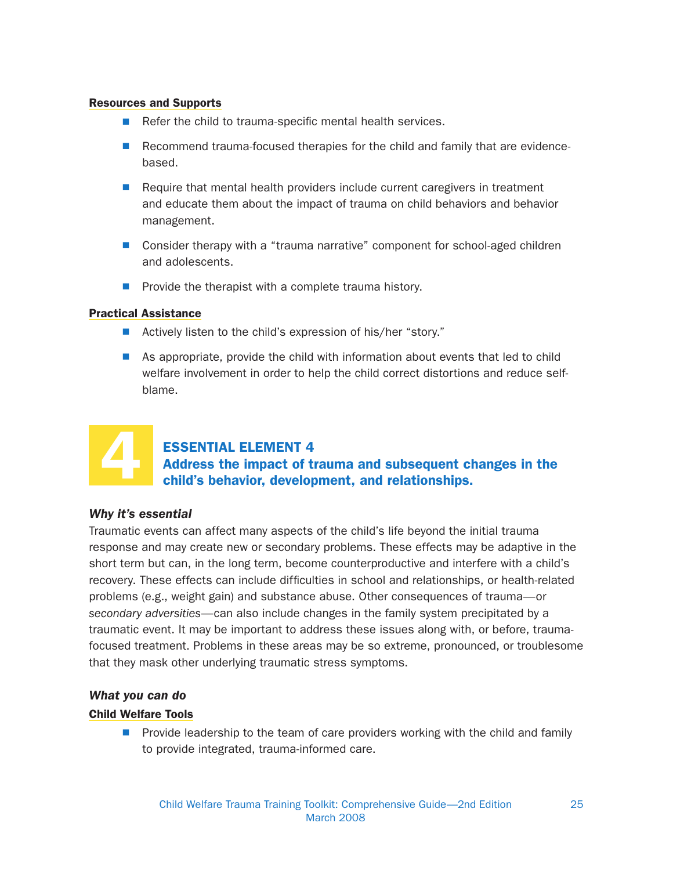#### Resources and Supports

- $\blacksquare$  Refer the child to trauma-specific mental health services.
- **N** Recommend trauma-focused therapies for the child and family that are evidencebased.
- **Require that mental health providers include current caregivers in treatment** and educate them about the impact of trauma on child behaviors and behavior management.
- Consider therapy with a "trauma narrative" component for school-aged children and adolescents.
- $\blacksquare$  Provide the therapist with a complete trauma history.

#### Practical Assistance

- Actively listen to the child's expression of his/her "story."
- $\blacksquare$  As appropriate, provide the child with information about events that led to child welfare involvement in order to help the child correct distortions and reduce selfblame.



#### ESSENTIAL ELEMENT 4 Address the impact of trauma and subsequent changes in the child's behavior, development, and relationships.

#### Why it's essential

Traumatic events can affect many aspects of the child's life beyond the initial trauma response and may create new or secondary problems. These effects may be adaptive in the short term but can, in the long term, become counterproductive and interfere with a child's recovery. These effects can include difficulties in school and relationships, or health-related problems (e.g., weight gain) and substance abuse. Other consequences of trauma—or secondary adversities—can also include changes in the family system precipitated by a traumatic event. It may be important to address these issues along with, or before, traumafocused treatment. Problems in these areas may be so extreme, pronounced, or troublesome that they mask other underlying traumatic stress symptoms.

#### What you can do

#### Child Welfare Tools

 $\blacksquare$  Provide leadership to the team of care providers working with the child and family to provide integrated, trauma-informed care.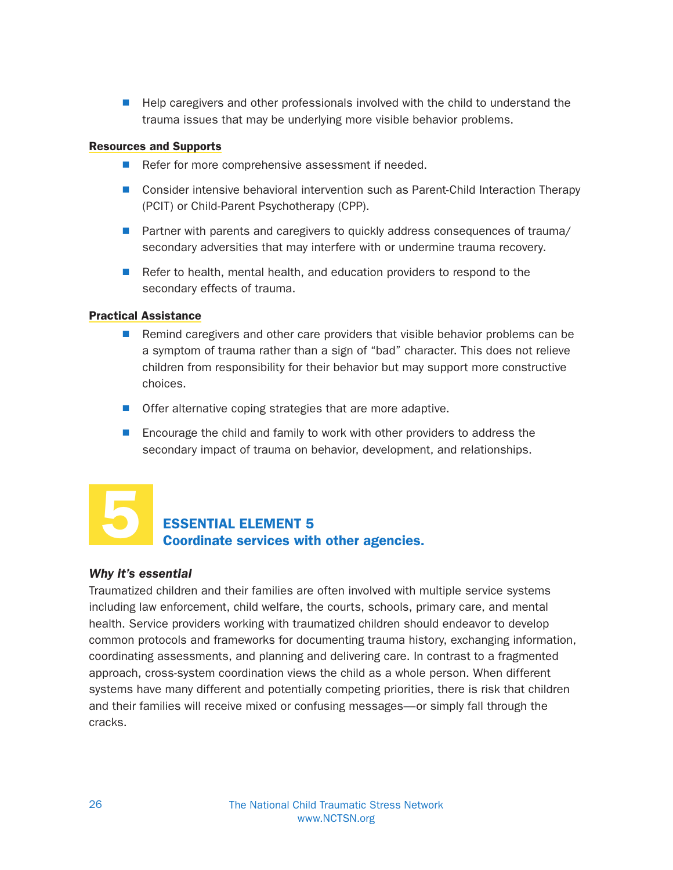■ Help caregivers and other professionals involved with the child to understand the trauma issues that may be underlying more visible behavior problems.

#### Resources and Supports

- $\blacksquare$  Refer for more comprehensive assessment if needed.
- Consider intensive behavioral intervention such as Parent-Child Interaction Therapy (PCIT) or Child-Parent Psychotherapy (CPP).
- Partner with parents and caregivers to quickly address consequences of trauma/ secondary adversities that may interfere with or undermine trauma recovery.
- Refer to health, mental health, and education providers to respond to the secondary effects of trauma.

#### Practical Assistance

- Remind caregivers and other care providers that visible behavior problems can be a symptom of trauma rather than a sign of "bad" character. This does not relieve children from responsibility for their behavior but may support more constructive choices.
- $\blacksquare$  Offer alternative coping strategies that are more adaptive.
- Encourage the child and family to work with other providers to address the secondary impact of trauma on behavior, development, and relationships.



### ESSENTIAL ELEMENT 5 Coordinate services with other agencies.

#### Why it's essential

Traumatized children and their families are often involved with multiple service systems including law enforcement, child welfare, the courts, schools, primary care, and mental health. Service providers working with traumatized children should endeavor to develop common protocols and frameworks for documenting trauma history, exchanging information, coordinating assessments, and planning and delivering care. In contrast to a fragmented approach, cross-system coordination views the child as a whole person. When different systems have many different and potentially competing priorities, there is risk that children and their families will receive mixed or confusing messages—or simply fall through the cracks.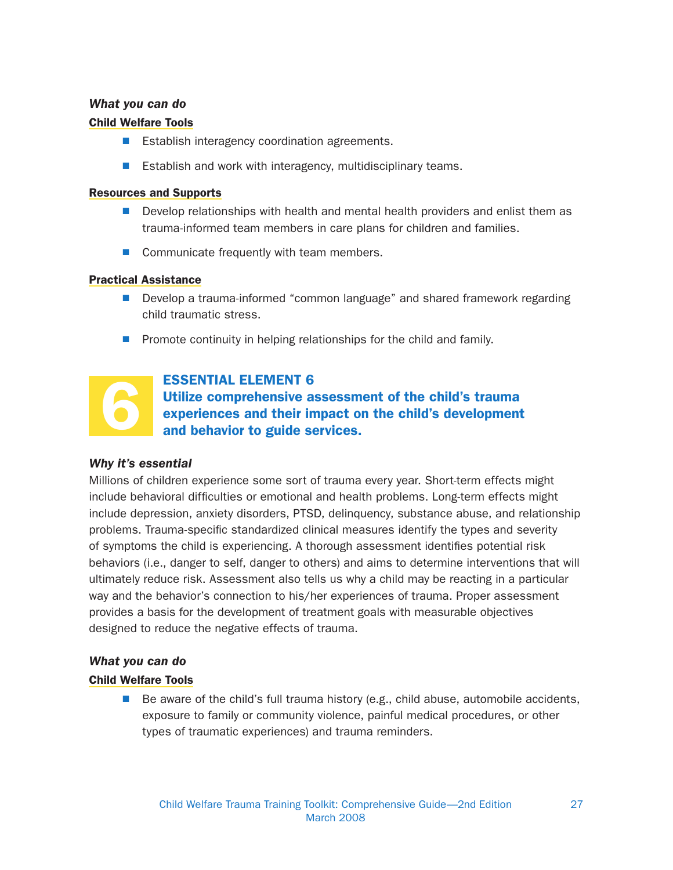#### What you can do

#### Child Welfare Tools

- Establish interagency coordination agreements.
- Establish and work with interagency, multidisciplinary teams.

#### Resources and Supports

- Develop relationships with health and mental health providers and enlist them as trauma-informed team members in care plans for children and families.
- $\blacksquare$  Communicate frequently with team members.

#### Practical Assistance

- Develop a trauma-informed "common language" and shared framework regarding child traumatic stress.
- $\blacksquare$  Promote continuity in helping relationships for the child and family.



#### ESSENTIAL ELEMENT 6

Utilize comprehensive assessment of the child's trauma experiences and their impact on the child's development and behavior to guide services.

#### Why it's essential

Millions of children experience some sort of trauma every year. Short-term effects might include behavioral difficulties or emotional and health problems. Long-term effects might include depression, anxiety disorders, PTSD, delinquency, substance abuse, and relationship problems. Trauma-specific standardized clinical measures identify the types and severity of symptoms the child is experiencing. A thorough assessment identifies potential risk behaviors (i.e., danger to self, danger to others) and aims to determine interventions that will ultimately reduce risk. Assessment also tells us why a child may be reacting in a particular way and the behavior's connection to his/her experiences of trauma. Proper assessment provides a basis for the development of treatment goals with measurable objectives designed to reduce the negative effects of trauma.

#### What you can do

#### Child Welfare Tools

 $\blacksquare$  Be aware of the child's full trauma history (e.g., child abuse, automobile accidents, exposure to family or community violence, painful medical procedures, or other types of traumatic experiences) and trauma reminders.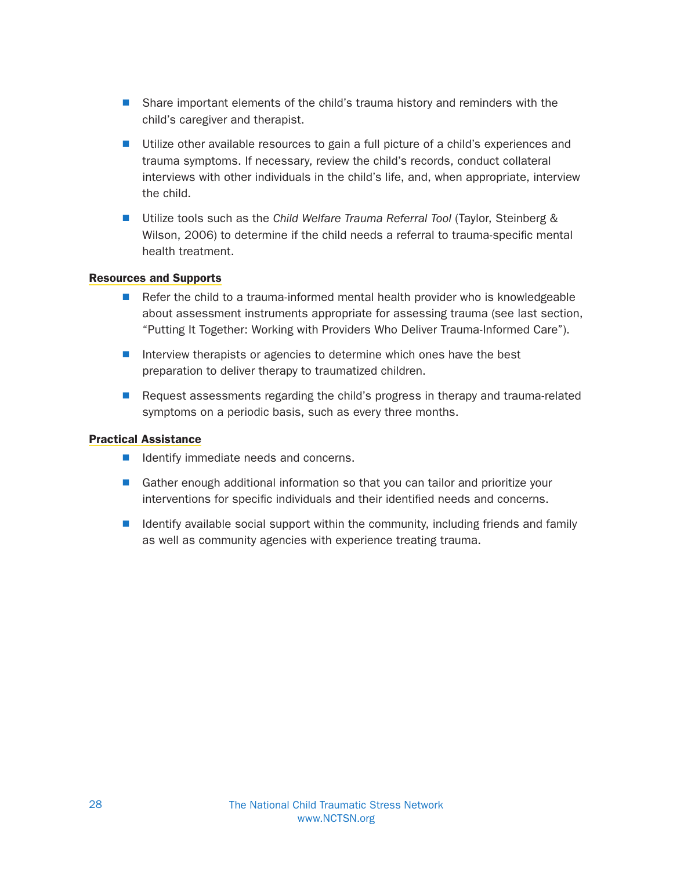- Share important elements of the child's trauma history and reminders with the child's caregiver and therapist.
- Utilize other available resources to gain a full picture of a child's experiences and trauma symptoms. If necessary, review the child's records, conduct collateral interviews with other individuals in the child's life, and, when appropriate, interview the child.
- Utilize tools such as the Child Welfare Trauma Referral Tool (Taylor, Steinberg & Wilson, 2006) to determine if the child needs a referral to trauma-specific mental health treatment.

#### Resources and Supports

- $\blacksquare$  Refer the child to a trauma-informed mental health provider who is knowledgeable about assessment instruments appropriate for assessing trauma (see last section, "Putting It Together: Working with Providers Who Deliver Trauma-Informed Care").
- $\blacksquare$  Interview therapists or agencies to determine which ones have the best preparation to deliver therapy to traumatized children.
- $\blacksquare$  Request assessments regarding the child's progress in therapy and trauma-related symptoms on a periodic basis, such as every three months.

#### Practical Assistance

- Identify immediate needs and concerns.
- Gather enough additional information so that you can tailor and prioritize your interventions for specific individuals and their identified needs and concerns.
- $\blacksquare$  Identify available social support within the community, including friends and family as well as community agencies with experience treating trauma.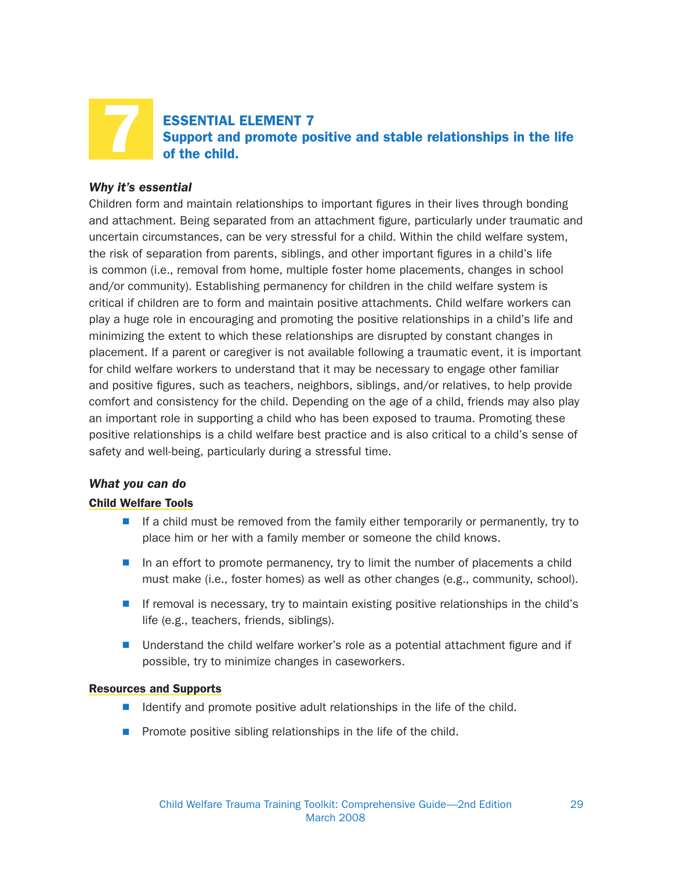

ESSENTIAL ELEMENT 7 Support and promote positive and stable relationships in the life of the child.

#### Why it's essential

Children form and maintain relationships to important figures in their lives through bonding and attachment. Being separated from an attachment figure, particularly under traumatic and uncertain circumstances, can be very stressful for a child. Within the child welfare system, the risk of separation from parents, siblings, and other important figures in a child's life is common (i.e., removal from home, multiple foster home placements, changes in school and/or community). Establishing permanency for children in the child welfare system is critical if children are to form and maintain positive attachments. Child welfare workers can play a huge role in encouraging and promoting the positive relationships in a child's life and minimizing the extent to which these relationships are disrupted by constant changes in placement. If a parent or caregiver is not available following a traumatic event, it is important for child welfare workers to understand that it may be necessary to engage other familiar and positive figures, such as teachers, neighbors, siblings, and/or relatives, to help provide comfort and consistency for the child. Depending on the age of a child, friends may also play an important role in supporting a child who has been exposed to trauma. Promoting these positive relationships is a child welfare best practice and is also critical to a child's sense of safety and well-being, particularly during a stressful time.

#### What you can do

#### Child Welfare Tools

- $\blacksquare$  If a child must be removed from the family either temporarily or permanently, try to place him or her with a family member or someone the child knows.
- $\blacksquare$  In an effort to promote permanency, try to limit the number of placements a child must make (i.e., foster homes) as well as other changes (e.g., community, school).
- If removal is necessary, try to maintain existing positive relationships in the child's life (e.g., teachers, friends, siblings).
- $\blacksquare$  Understand the child welfare worker's role as a potential attachment figure and if possible, try to minimize changes in caseworkers.

#### Resources and Supports

- $\blacksquare$  Identify and promote positive adult relationships in the life of the child.
- $\blacksquare$  Promote positive sibling relationships in the life of the child.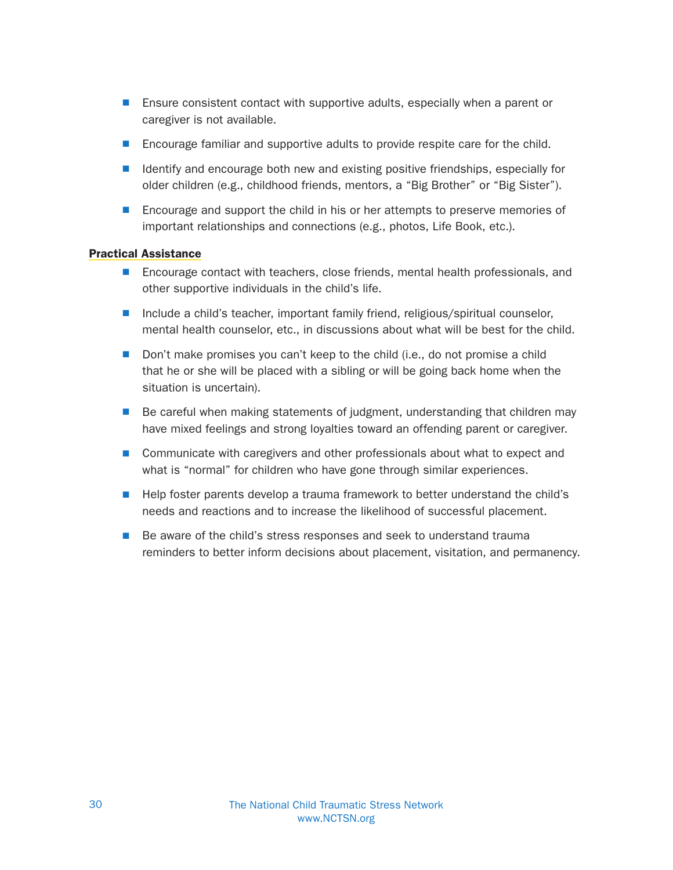- **E** Ensure consistent contact with supportive adults, especially when a parent or caregiver is not available.
- **Encourage familiar and supportive adults to provide respite care for the child.**
- $\blacksquare$  Identify and encourage both new and existing positive friendships, especially for older children (e.g., childhood friends, mentors, a "Big Brother" or "Big Sister").
- **E** Encourage and support the child in his or her attempts to preserve memories of important relationships and connections (e.g., photos, Life Book, etc.).

#### Practical Assistance

- **n** Encourage contact with teachers, close friends, mental health professionals, and other supportive individuals in the child's life.
- $\blacksquare$  Include a child's teacher, important family friend, religious/spiritual counselor, mental health counselor, etc., in discussions about what will be best for the child.
- Don't make promises you can't keep to the child (i.e., do not promise a child that he or she will be placed with a sibling or will be going back home when the situation is uncertain).
- $\blacksquare$  Be careful when making statements of judgment, understanding that children may have mixed feelings and strong loyalties toward an offending parent or caregiver.
- Communicate with caregivers and other professionals about what to expect and what is "normal" for children who have gone through similar experiences.
- Help foster parents develop a trauma framework to better understand the child's needs and reactions and to increase the likelihood of successful placement.
- Be aware of the child's stress responses and seek to understand trauma reminders to better inform decisions about placement, visitation, and permanency.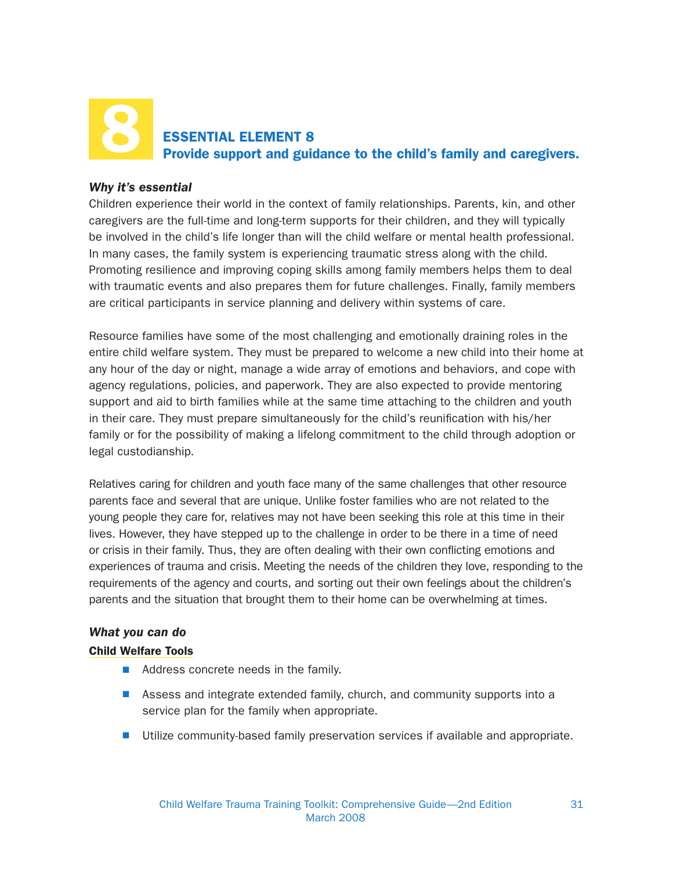## ESSENTIAL ELEMENT 8 Provide support and guidance to the child's family and caregivers. 8

#### Why it's essential

Children experience their world in the context of family relationships. Parents, kin, and other caregivers are the full-time and long-term supports for their children, and they will typically be involved in the child's life longer than will the child welfare or mental health professional. In many cases, the family system is experiencing traumatic stress along with the child. Promoting resilience and improving coping skills among family members helps them to deal with traumatic events and also prepares them for future challenges. Finally, family members are critical participants in service planning and delivery within systems of care.

Resource families have some of the most challenging and emotionally draining roles in the entire child welfare system. They must be prepared to welcome a new child into their home at any hour of the day or night, manage a wide array of emotions and behaviors, and cope with agency regulations, policies, and paperwork. They are also expected to provide mentoring support and aid to birth families while at the same time attaching to the children and youth in their care. They must prepare simultaneously for the child's reunification with his/her family or for the possibility of making a lifelong commitment to the child through adoption or legal custodianship.

Relatives caring for children and youth face many of the same challenges that other resource parents face and several that are unique. Unlike foster families who are not related to the young people they care for, relatives may not have been seeking this role at this time in their lives. However, they have stepped up to the challenge in order to be there in a time of need or crisis in their family. Thus, they are often dealing with their own conflicting emotions and experiences of trauma and crisis. Meeting the needs of the children they love, responding to the requirements of the agency and courts, and sorting out their own feelings about the children's parents and the situation that brought them to their home can be overwhelming at times.

#### What you can do

#### Child Welfare Tools

- $\blacksquare$  Address concrete needs in the family.
- Assess and integrate extended family, church, and community supports into a service plan for the family when appropriate.
- $\blacksquare$  Utilize community-based family preservation services if available and appropriate.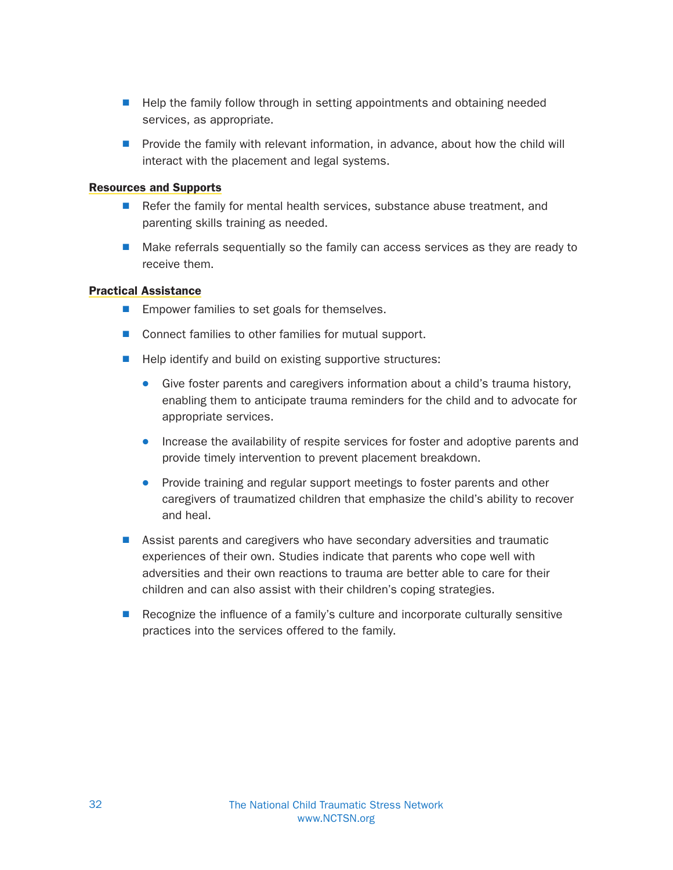- Help the family follow through in setting appointments and obtaining needed services, as appropriate.
- $\blacksquare$  Provide the family with relevant information, in advance, about how the child will interact with the placement and legal systems.

#### Resources and Supports

- $\blacksquare$  Refer the family for mental health services, substance abuse treatment, and parenting skills training as needed.
- $\blacksquare$  Make referrals sequentially so the family can access services as they are ready to receive them.

#### Practical Assistance

- $\blacksquare$  Empower families to set goals for themselves.
- Connect families to other families for mutual support.
- $\blacksquare$  Help identify and build on existing supportive structures:
	- Give foster parents and caregivers information about a child's trauma history, enabling them to anticipate trauma reminders for the child and to advocate for appropriate services.
	- Increase the availability of respite services for foster and adoptive parents and provide timely intervention to prevent placement breakdown.
	- Provide training and regular support meetings to foster parents and other caregivers of traumatized children that emphasize the child's ability to recover and heal.
- **N** Assist parents and caregivers who have secondary adversities and traumatic experiences of their own. Studies indicate that parents who cope well with adversities and their own reactions to trauma are better able to care for their children and can also assist with their children's coping strategies.
- $\blacksquare$  Recognize the influence of a family's culture and incorporate culturally sensitive practices into the services offered to the family.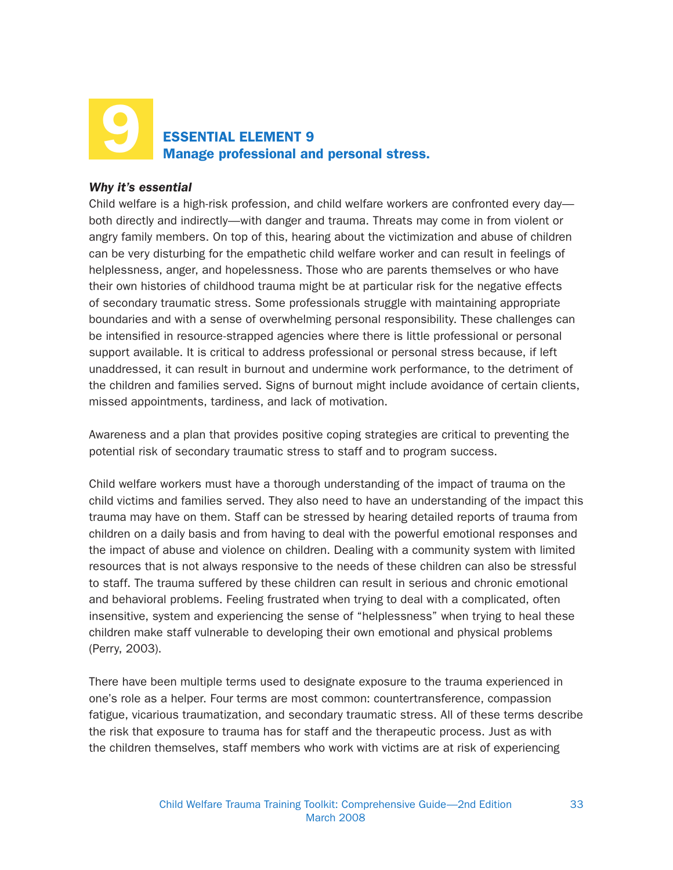## ESSENTIAL ELEMENT 9 Manage professional and personal stress. 9

#### Why it's essential

Child welfare is a high-risk profession, and child welfare workers are confronted every day both directly and indirectly—with danger and trauma. Threats may come in from violent or angry family members. On top of this, hearing about the victimization and abuse of children can be very disturbing for the empathetic child welfare worker and can result in feelings of helplessness, anger, and hopelessness. Those who are parents themselves or who have their own histories of childhood trauma might be at particular risk for the negative effects of secondary traumatic stress. Some professionals struggle with maintaining appropriate boundaries and with a sense of overwhelming personal responsibility. These challenges can be intensified in resource-strapped agencies where there is little professional or personal support available. It is critical to address professional or personal stress because, if left unaddressed, it can result in burnout and undermine work performance, to the detriment of the children and families served. Signs of burnout might include avoidance of certain clients, missed appointments, tardiness, and lack of motivation.

Awareness and a plan that provides positive coping strategies are critical to preventing the potential risk of secondary traumatic stress to staff and to program success.

Child welfare workers must have a thorough understanding of the impact of trauma on the child victims and families served. They also need to have an understanding of the impact this trauma may have on them. Staff can be stressed by hearing detailed reports of trauma from children on a daily basis and from having to deal with the powerful emotional responses and the impact of abuse and violence on children. Dealing with a community system with limited resources that is not always responsive to the needs of these children can also be stressful to staff. The trauma suffered by these children can result in serious and chronic emotional and behavioral problems. Feeling frustrated when trying to deal with a complicated, often insensitive, system and experiencing the sense of "helplessness" when trying to heal these children make staff vulnerable to developing their own emotional and physical problems (Perry, 2003).

There have been multiple terms used to designate exposure to the trauma experienced in one's role as a helper. Four terms are most common: countertransference, compassion fatigue, vicarious traumatization, and secondary traumatic stress. All of these terms describe the risk that exposure to trauma has for staff and the therapeutic process. Just as with the children themselves, staff members who work with victims are at risk of experiencing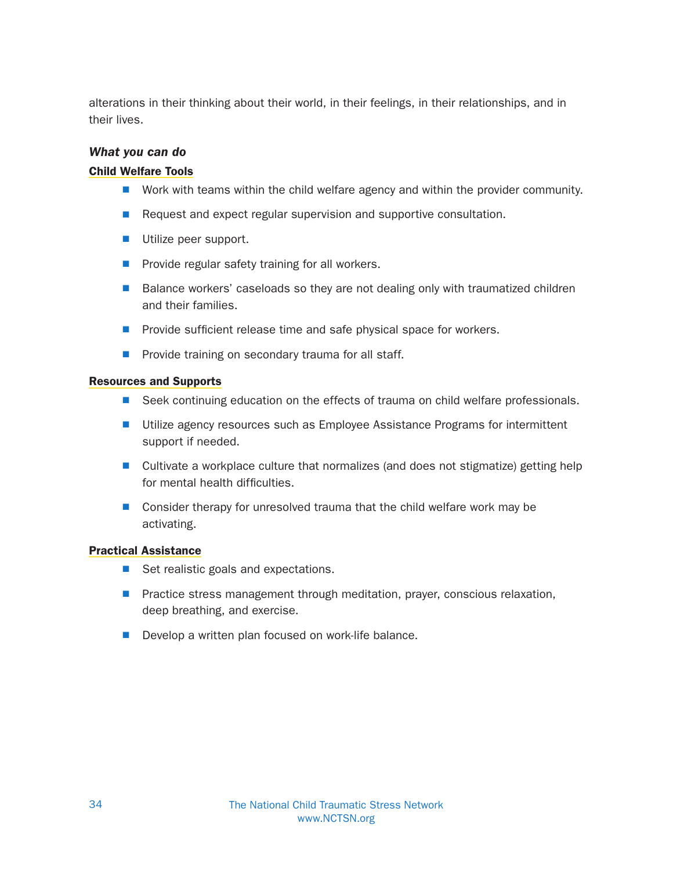alterations in their thinking about their world, in their feelings, in their relationships, and in their lives.

#### What you can do

#### Child Welfare Tools

- $\blacksquare$  Work with teams within the child welfare agency and within the provider community.
- Request and expect regular supervision and supportive consultation.
- $\blacksquare$  Utilize peer support.
- $\blacksquare$  Provide regular safety training for all workers.
- Balance workers' caseloads so they are not dealing only with traumatized children and their families.
- $\blacksquare$  Provide sufficient release time and safe physical space for workers.
- $\blacksquare$  Provide training on secondary trauma for all staff.

#### Resources and Supports

- Seek continuing education on the effects of trauma on child welfare professionals.
- Utilize agency resources such as Employee Assistance Programs for intermittent support if needed.
- Cultivate a workplace culture that normalizes (and does not stigmatize) getting help for mental health difficulties.
- Consider therapy for unresolved trauma that the child welfare work may be activating.

#### Practical Assistance

- Set realistic goals and expectations.
- **P** Practice stress management through meditation, prayer, conscious relaxation, deep breathing, and exercise.
- $\blacksquare$  Develop a written plan focused on work-life balance.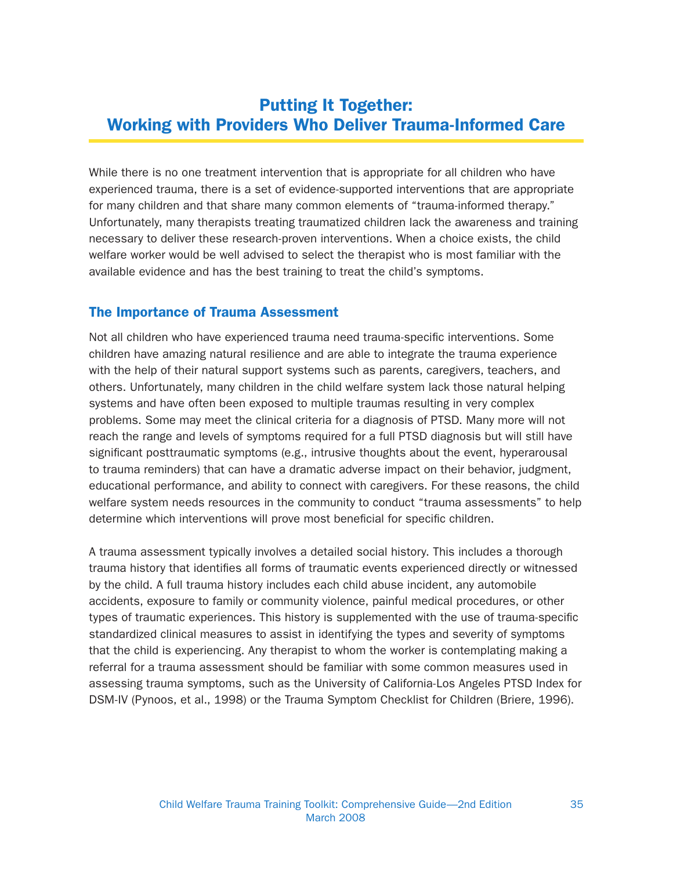## Putting It Together: Working with Providers Who Deliver Trauma-Informed Care

While there is no one treatment intervention that is appropriate for all children who have experienced trauma, there is a set of evidence-supported interventions that are appropriate for many children and that share many common elements of "trauma-informed therapy." Unfortunately, many therapists treating traumatized children lack the awareness and training necessary to deliver these research-proven interventions. When a choice exists, the child welfare worker would be well advised to select the therapist who is most familiar with the available evidence and has the best training to treat the child's symptoms.

#### The Importance of Trauma Assessment

Not all children who have experienced trauma need trauma-specific interventions. Some children have amazing natural resilience and are able to integrate the trauma experience with the help of their natural support systems such as parents, caregivers, teachers, and others. Unfortunately, many children in the child welfare system lack those natural helping systems and have often been exposed to multiple traumas resulting in very complex problems. Some may meet the clinical criteria for a diagnosis of PTSD. Many more will not reach the range and levels of symptoms required for a full PTSD diagnosis but will still have significant posttraumatic symptoms (e.g., intrusive thoughts about the event, hyperarousal to trauma reminders) that can have a dramatic adverse impact on their behavior, judgment, educational performance, and ability to connect with caregivers. For these reasons, the child welfare system needs resources in the community to conduct "trauma assessments" to help determine which interventions will prove most beneficial for specific children.

A trauma assessment typically involves a detailed social history. This includes a thorough trauma history that identifies all forms of traumatic events experienced directly or witnessed by the child. A full trauma history includes each child abuse incident, any automobile accidents, exposure to family or community violence, painful medical procedures, or other types of traumatic experiences. This history is supplemented with the use of trauma-specific standardized clinical measures to assist in identifying the types and severity of symptoms that the child is experiencing. Any therapist to whom the worker is contemplating making a referral for a trauma assessment should be familiar with some common measures used in assessing trauma symptoms, such as the University of California-Los Angeles PTSD Index for DSM-IV (Pynoos, et al., 1998) or the Trauma Symptom Checklist for Children (Briere, 1996).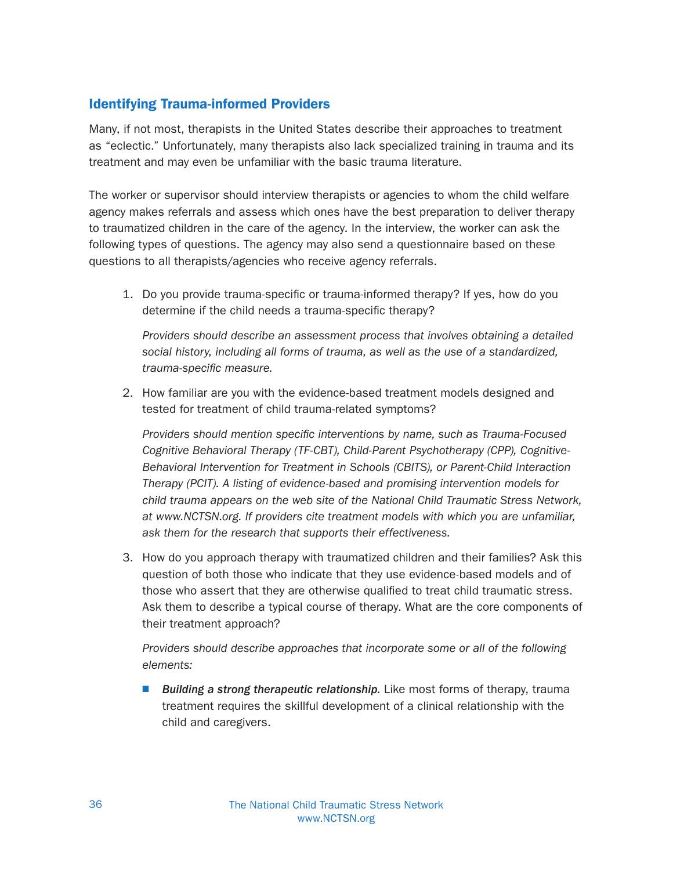#### Identifying Trauma-informed Providers

Many, if not most, therapists in the United States describe their approaches to treatment as "eclectic." Unfortunately, many therapists also lack specialized training in trauma and its treatment and may even be unfamiliar with the basic trauma literature.

The worker or supervisor should interview therapists or agencies to whom the child welfare agency makes referrals and assess which ones have the best preparation to deliver therapy to traumatized children in the care of the agency. In the interview, the worker can ask the following types of questions. The agency may also send a questionnaire based on these questions to all therapists/agencies who receive agency referrals.

1. Do you provide trauma-specific or trauma-informed therapy? If yes, how do you determine if the child needs a trauma-specific therapy?

Providers should describe an assessment process that involves obtaining a detailed social history, including all forms of trauma, as well as the use of a standardized, trauma-specific measure.

2. How familiar are you with the evidence-based treatment models designed and tested for treatment of child trauma-related symptoms?

Providers should mention specific interventions by name, such as Trauma-Focused Cognitive Behavioral Therapy (TF-CBT), Child-Parent Psychotherapy (CPP), Cognitive-Behavioral Intervention for Treatment in Schools (CBITS), or Parent-Child Interaction Therapy (PCIT). A listing of evidence-based and promising intervention models for child trauma appears on the web site of the National Child Traumatic Stress Network, at www.NCTSN.org. If providers cite treatment models with which you are unfamiliar, ask them for the research that supports their effectiveness.

3. How do you approach therapy with traumatized children and their families? Ask this question of both those who indicate that they use evidence-based models and of those who assert that they are otherwise qualified to treat child traumatic stress. Ask them to describe a typical course of therapy. What are the core components of their treatment approach?

Providers should describe approaches that incorporate some or all of the following elements:

**N** Building a strong therapeutic relationship. Like most forms of therapy, trauma treatment requires the skillful development of a clinical relationship with the child and caregivers.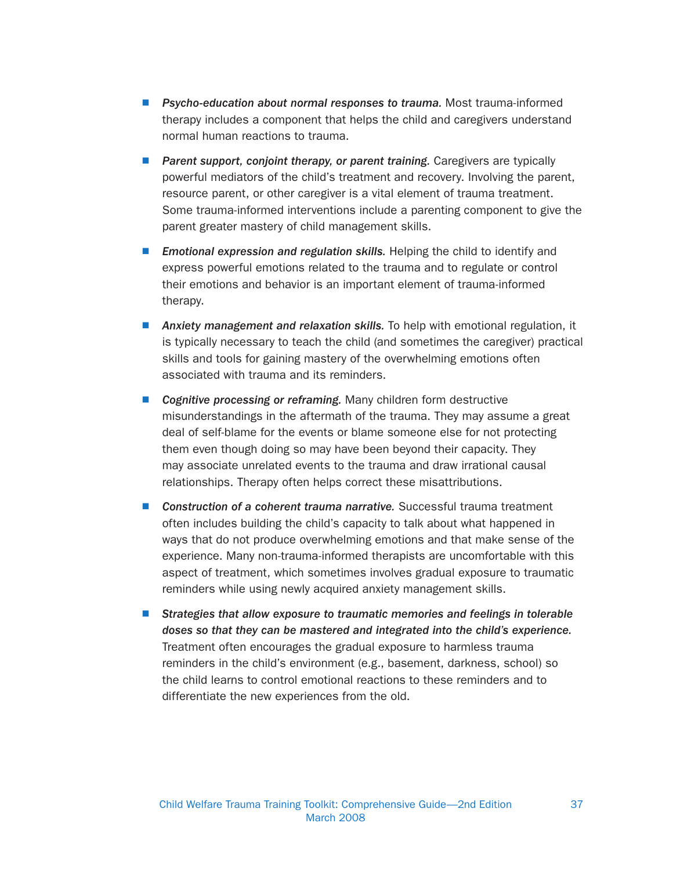- **N** Psycho-education about normal responses to trauma. Most trauma-informed therapy includes a component that helps the child and caregivers understand normal human reactions to trauma.
- **Parent support, conjoint therapy, or parent training.** Caregivers are typically powerful mediators of the child's treatment and recovery. Involving the parent, resource parent, or other caregiver is a vital element of trauma treatment. Some trauma-informed interventions include a parenting component to give the parent greater mastery of child management skills.
- **Emotional expression and regulation skills.** Helping the child to identify and express powerful emotions related to the trauma and to regulate or control their emotions and behavior is an important element of trauma-informed therapy.
- **Anxiety management and relaxation skills.** To help with emotional regulation, it is typically necessary to teach the child (and sometimes the caregiver) practical skills and tools for gaining mastery of the overwhelming emotions often associated with trauma and its reminders.
- Cognitive processing or reframing. Many children form destructive misunderstandings in the aftermath of the trauma. They may assume a great deal of self-blame for the events or blame someone else for not protecting them even though doing so may have been beyond their capacity. They may associate unrelated events to the trauma and draw irrational causal relationships. Therapy often helps correct these misattributions.
- Construction of a coherent trauma narrative. Successful trauma treatment often includes building the child's capacity to talk about what happened in ways that do not produce overwhelming emotions and that make sense of the experience. Many non-trauma-informed therapists are uncomfortable with this aspect of treatment, which sometimes involves gradual exposure to traumatic reminders while using newly acquired anxiety management skills.
- **N** Strategies that allow exposure to traumatic memories and feelings in tolerable doses so that they can be mastered and integrated into the child's experience. Treatment often encourages the gradual exposure to harmless trauma reminders in the child's environment (e.g., basement, darkness, school) so the child learns to control emotional reactions to these reminders and to differentiate the new experiences from the old.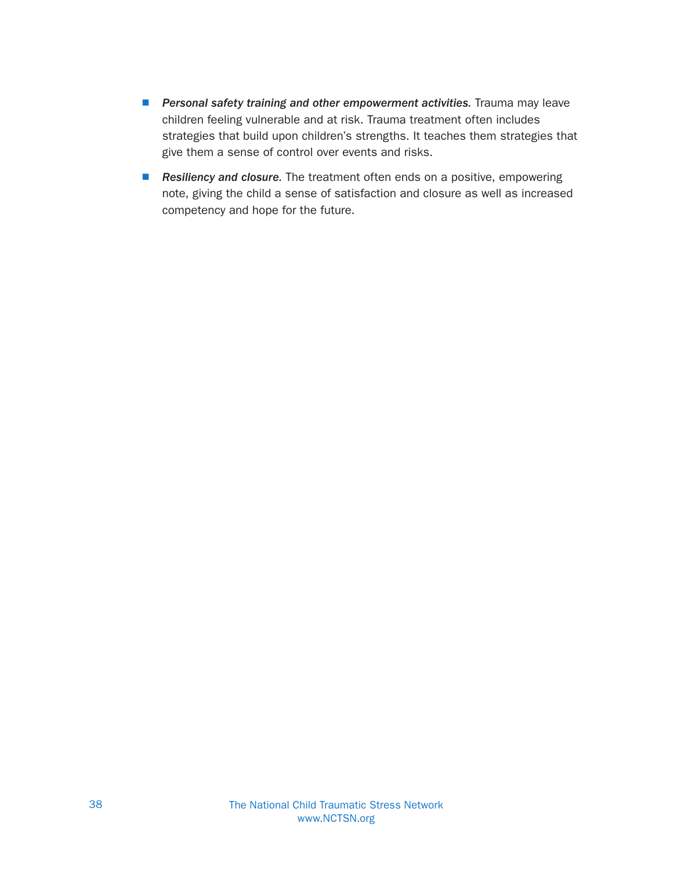- **Personal safety training and other empowerment activities.** Trauma may leave children feeling vulnerable and at risk. Trauma treatment often includes strategies that build upon children's strengths. It teaches them strategies that give them a sense of control over events and risks.
- Resiliency and closure. The treatment often ends on a positive, empowering note, giving the child a sense of satisfaction and closure as well as increased competency and hope for the future.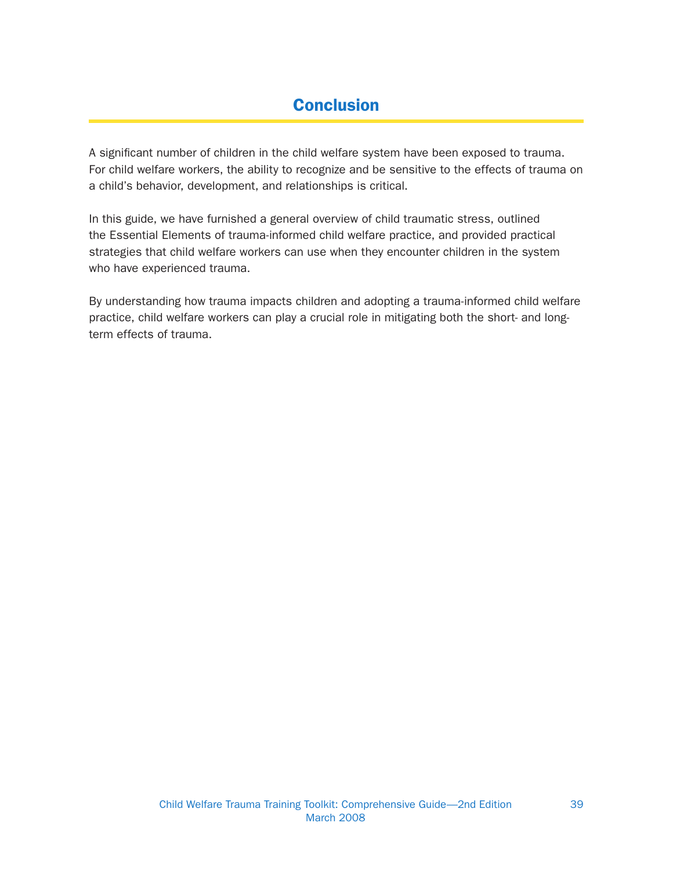## **Conclusion**

A significant number of children in the child welfare system have been exposed to trauma. For child welfare workers, the ability to recognize and be sensitive to the effects of trauma on a child's behavior, development, and relationships is critical.

In this guide, we have furnished a general overview of child traumatic stress, outlined the Essential Elements of trauma-informed child welfare practice, and provided practical strategies that child welfare workers can use when they encounter children in the system who have experienced trauma.

By understanding how trauma impacts children and adopting a trauma-informed child welfare practice, child welfare workers can play a crucial role in mitigating both the short- and longterm effects of trauma.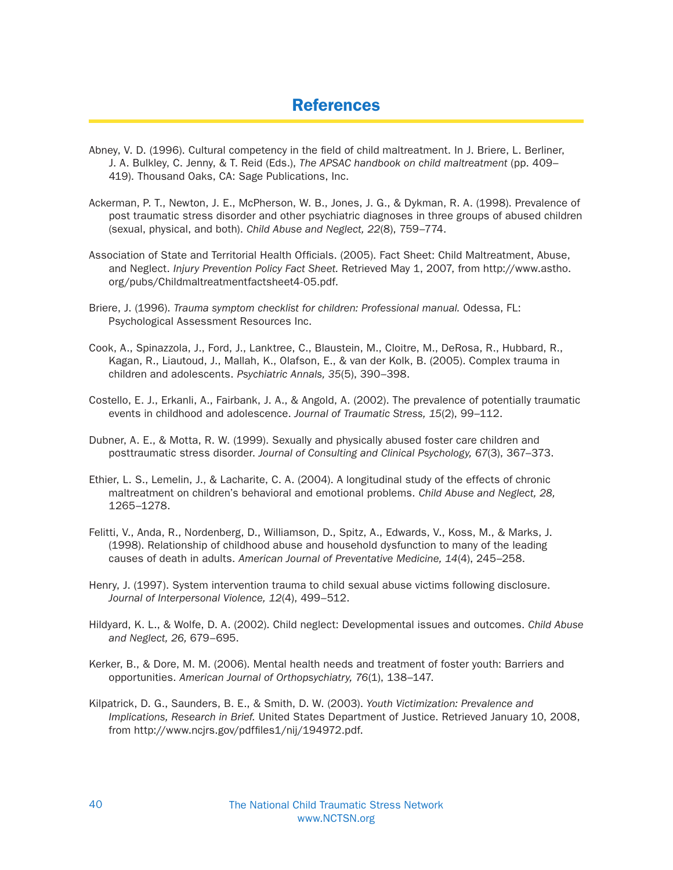## References

- Abney, V. D. (1996). Cultural competency in the field of child maltreatment. In J. Briere, L. Berliner, J. A. Bulkley, C. Jenny, & T. Reid (Eds.), The APSAC handbook on child maltreatment (pp. 409– 419). Thousand Oaks, CA: Sage Publications, Inc.
- Ackerman, P. T., Newton, J. E., McPherson, W. B., Jones, J. G., & Dykman, R. A. (1998). Prevalence of post traumatic stress disorder and other psychiatric diagnoses in three groups of abused children (sexual, physical, and both). Child Abuse and Neglect, 22(8), 759–774.
- Association of State and Territorial Health Officials. (2005). Fact Sheet: Child Maltreatment, Abuse, and Neglect. Injury Prevention Policy Fact Sheet. Retrieved May 1, 2007, from http://www.astho. org/pubs/Childmaltreatmentfactsheet4-05.pdf.
- Briere, J. (1996). Trauma symptom checklist for children: Professional manual. Odessa, FL: Psychological Assessment Resources Inc.
- Cook, A., Spinazzola, J., Ford, J., Lanktree, C., Blaustein, M., Cloitre, M., DeRosa, R., Hubbard, R., Kagan, R., Liautoud, J., Mallah, K., Olafson, E., & van der Kolk, B. (2005). Complex trauma in children and adolescents. Psychiatric Annals, 35(5), 390–398.
- Costello, E. J., Erkanli, A., Fairbank, J. A., & Angold, A. (2002). The prevalence of potentially traumatic events in childhood and adolescence. Journal of Traumatic Stress, 15(2), 99–112.
- Dubner, A. E., & Motta, R. W. (1999). Sexually and physically abused foster care children and posttraumatic stress disorder. Journal of Consulting and Clinical Psychology, 67(3), 367–373.
- Ethier, L. S., Lemelin, J., & Lacharite, C. A. (2004). A longitudinal study of the effects of chronic maltreatment on children's behavioral and emotional problems. Child Abuse and Neglect, 28, 1265–1278.
- Felitti, V., Anda, R., Nordenberg, D., Williamson, D., Spitz, A., Edwards, V., Koss, M., & Marks, J. (1998). Relationship of childhood abuse and household dysfunction to many of the leading causes of death in adults. American Journal of Preventative Medicine, 14(4), 245–258.
- Henry, J. (1997). System intervention trauma to child sexual abuse victims following disclosure. Journal of Interpersonal Violence, 12(4), 499–512.
- Hildyard, K. L., & Wolfe, D. A. (2002). Child neglect: Developmental issues and outcomes. Child Abuse and Neglect, 26, 679–695.
- Kerker, B., & Dore, M. M. (2006). Mental health needs and treatment of foster youth: Barriers and opportunities. American Journal of Orthopsychiatry, 76(1), 138–147.
- Kilpatrick, D. G., Saunders, B. E., & Smith, D. W. (2003). Youth Victimization: Prevalence and Implications, Research in Brief. United States Department of Justice. Retrieved January 10, 2008, from http://www.ncjrs.gov/pdffiles1/nij/194972.pdf.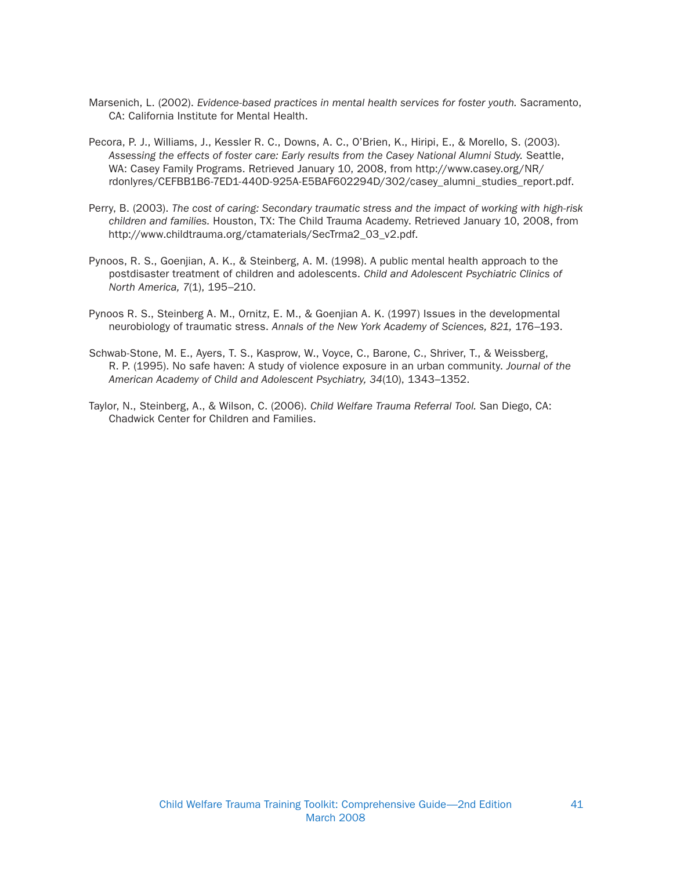- Marsenich, L. (2002). Evidence-based practices in mental health services for foster youth. Sacramento, CA: California Institute for Mental Health.
- Pecora, P. J., Williams, J., Kessler R. C., Downs, A. C., O'Brien, K., Hiripi, E., & Morello, S. (2003). Assessing the effects of foster care: Early results from the Casey National Alumni Study. Seattle, WA: Casey Family Programs. Retrieved January 10, 2008, from http://www.casey.org/NR/ rdonlyres/CEFBB1B6-7ED1-440D-925A-E5BAF602294D/302/casey\_alumni\_studies\_report.pdf.
- Perry, B. (2003). The cost of caring: Secondary traumatic stress and the impact of working with high-risk children and families. Houston, TX: The Child Trauma Academy. Retrieved January 10, 2008, from http://www.childtrauma.org/ctamaterials/SecTrma2\_03\_v2.pdf.
- Pynoos, R. S., Goenjian, A. K., & Steinberg, A. M. (1998). A public mental health approach to the postdisaster treatment of children and adolescents. Child and Adolescent Psychiatric Clinics of North America, 7(1), 195–210.
- Pynoos R. S., Steinberg A. M., Ornitz, E. M., & Goenjian A. K. (1997) Issues in the developmental neurobiology of traumatic stress. Annals of the New York Academy of Sciences, 821, 176–193.
- Schwab-Stone, M. E., Ayers, T. S., Kasprow, W., Voyce, C., Barone, C., Shriver, T., & Weissberg, R. P. (1995). No safe haven: A study of violence exposure in an urban community. Journal of the American Academy of Child and Adolescent Psychiatry, 34(10), 1343–1352.
- Taylor, N., Steinberg, A., & Wilson, C. (2006). Child Welfare Trauma Referral Tool. San Diego, CA: Chadwick Center for Children and Families.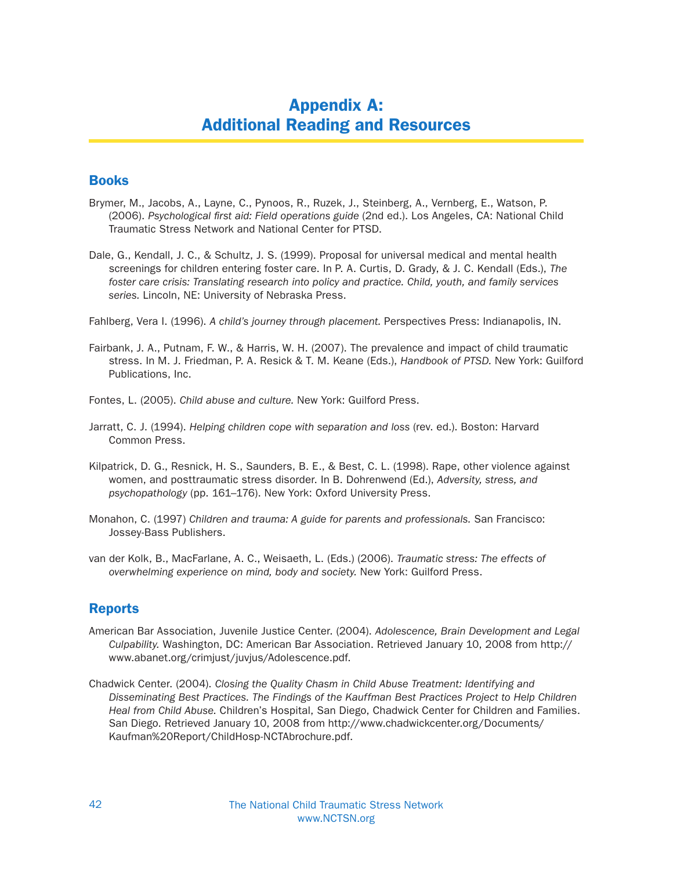## Appendix A: Additional Reading and Resources

#### Books

- Brymer, M., Jacobs, A., Layne, C., Pynoos, R., Ruzek, J., Steinberg, A., Vernberg, E., Watson, P. (2006). Psychological first aid: Field operations guide (2nd ed.). Los Angeles, CA: National Child Traumatic Stress Network and National Center for PTSD.
- Dale, G., Kendall, J. C., & Schultz, J. S. (1999). Proposal for universal medical and mental health screenings for children entering foster care. In P. A. Curtis, D. Grady, & J. C. Kendall (Eds.), The foster care crisis: Translating research into policy and practice. Child, youth, and family services series. Lincoln, NE: University of Nebraska Press.

Fahlberg, Vera I. (1996). A child's journey through placement. Perspectives Press: Indianapolis, IN.

Fairbank, J. A., Putnam, F. W., & Harris, W. H. (2007). The prevalence and impact of child traumatic stress. In M. J. Friedman, P. A. Resick & T. M. Keane (Eds.), Handbook of PTSD. New York: Guilford Publications, Inc.

Fontes, L. (2005). Child abuse and culture. New York: Guilford Press.

- Jarratt, C. J. (1994). Helping children cope with separation and loss (rev. ed.). Boston: Harvard Common Press.
- Kilpatrick, D. G., Resnick, H. S., Saunders, B. E., & Best, C. L. (1998). Rape, other violence against women, and posttraumatic stress disorder. In B. Dohrenwend (Ed.), Adversity, stress, and psychopathology (pp. 161–176). New York: Oxford University Press.
- Monahon, C. (1997) Children and trauma: A guide for parents and professionals. San Francisco: Jossey-Bass Publishers.
- van der Kolk, B., MacFarlane, A. C., Weisaeth, L. (Eds.) (2006). Traumatic stress: The effects of overwhelming experience on mind, body and society. New York: Guilford Press.

#### Reports

- American Bar Association, Juvenile Justice Center. (2004). Adolescence, Brain Development and Legal Culpability. Washington, DC: American Bar Association. Retrieved January 10, 2008 from http:// www.abanet.org/crimjust/juvjus/Adolescence.pdf.
- Chadwick Center. (2004). Closing the Quality Chasm in Child Abuse Treatment: Identifying and Disseminating Best Practices. The Findings of the Kauffman Best Practices Project to Help Children Heal from Child Abuse. Children's Hospital, San Diego, Chadwick Center for Children and Families. San Diego. Retrieved January 10, 2008 from http://www.chadwickcenter.org/Documents/ Kaufman%20Report/ChildHosp-NCTAbrochure.pdf.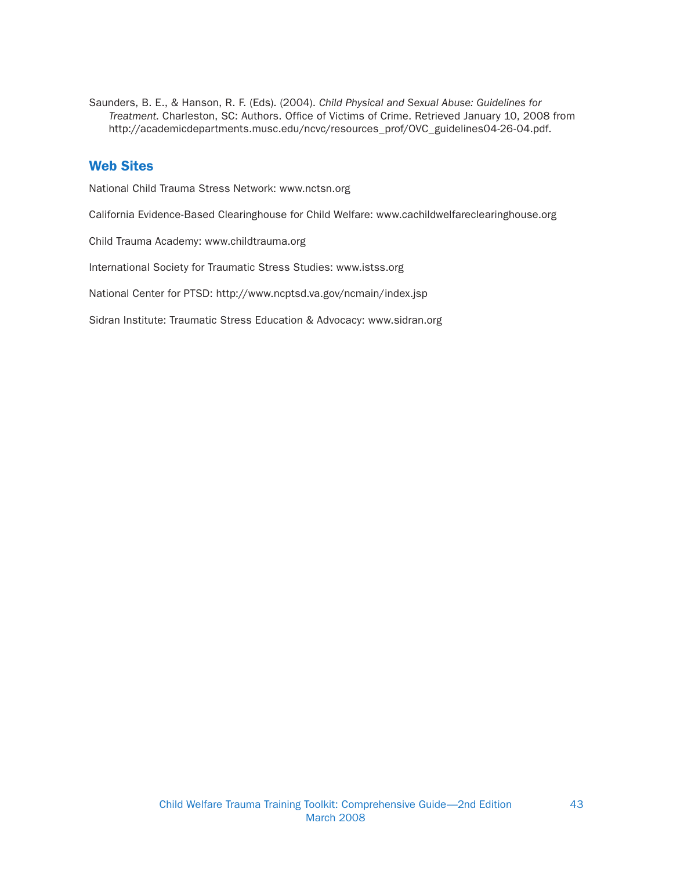Saunders, B. E., & Hanson, R. F. (Eds). (2004). Child Physical and Sexual Abuse: Guidelines for Treatment. Charleston, SC: Authors. Office of Victims of Crime. Retrieved January 10, 2008 from http://academicdepartments.musc.edu/ncvc/resources\_prof/OVC\_guidelines04-26-04.pdf.

#### Web Sites

National Child Trauma Stress Network: www.nctsn.org

California Evidence-Based Clearinghouse for Child Welfare: www.cachildwelfareclearinghouse.org

Child Trauma Academy: www.childtrauma.org

International Society for Traumatic Stress Studies: www.istss.org

National Center for PTSD: http://www.ncptsd.va.gov/ncmain/index.jsp

Sidran Institute: Traumatic Stress Education & Advocacy: www.sidran.org